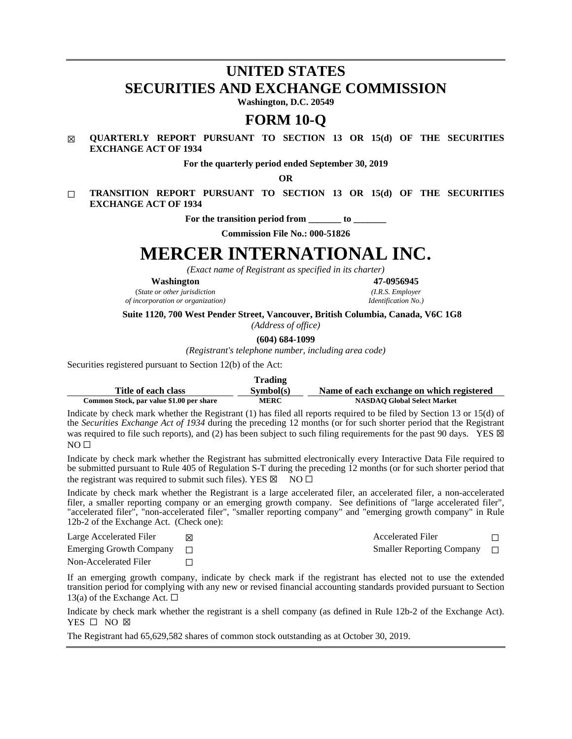## **UNITED STATES SECURITIES AND EXCHANGE COMMISSION**

**Washington, D.C. 20549**

## **FORM 10-Q**

## ☒ **QUARTERLY REPORT PURSUANT TO SECTION 13 OR 15(d) OF THE SECURITIES EXCHANGE ACT OF 1934**

**For the quarterly period ended September 30, 2019**

**OR**

☐ **TRANSITION REPORT PURSUANT TO SECTION 13 OR 15(d) OF THE SECURITIES EXCHANGE ACT OF 1934**

For the transition period from to

**Commission File No.: 000-51826**

# **MERCER INTERNATIONAL INC.**

*(Exact name of Registrant as specified in its charter)*

**Washington 47-0956945**

(*State or other jurisdiction (I.R.S. Employer*  $of incorporation$  *or organization*)

**Suite 1120, 700 West Pender Street, Vancouver, British Columbia, Canada, V6C 1G8**

*(Address of office)*

**(604) 684-1099**

*(Registrant's telephone number, including area code)*

Securities registered pursuant to Section 12(b) of the Act:

|                                          | <b>Trading</b> |                                           |
|------------------------------------------|----------------|-------------------------------------------|
| Title of each class                      | Sumbol(s)      | Name of each exchange on which registered |
| Common Stock, par value \$1.00 per share | <b>MERC</b>    | <b>NASDAO Global Select Market</b>        |

Indicate by check mark whether the Registrant (1) has filed all reports required to be filed by Section 13 or 15(d) of the *Securities Exchange Act of 1934* during the preceding 12 months (or for such shorter period that the Registrant was required to file such reports), and (2) has been subject to such filing requirements for the past 90 days. YES  $\boxtimes$  $NO<sub>II</sub>$ 

Indicate by check mark whether the Registrant has submitted electronically every Interactive Data File required to be submitted pursuant to Rule 405 of Regulation S-T during the preceding 12 months (or for such shorter period that the registrant was required to submit such files). YES  $\boxtimes$  NO  $\Box$ 

Indicate by check mark whether the Registrant is a large accelerated filer, an accelerated filer, a non-accelerated filer, a smaller reporting company or an emerging growth company. See definitions of "large accelerated filer", "accelerated filer", "non-accelerated filer", "smaller reporting company" and "emerging growth company" in Rule 12b-2 of the Exchange Act. (Check one):

Large Accelerated Filer ☒ Accelerated Filer ☐

Emerging Growth Company <del>□</del> Smaller Reporting Company □

Non-Accelerated Filer  $\Box$ 

If an emerging growth company, indicate by check mark if the registrant has elected not to use the extended transition period for complying with any new or revised financial accounting standards provided pursuant to Section 13(a) of the Exchange Act.  $\Box$ 

Indicate by check mark whether the registrant is a shell company (as defined in Rule 12b-2 of the Exchange Act). YES □ NO ⊠

The Registrant had 65,629,582 shares of common stock outstanding as at October 30, 2019.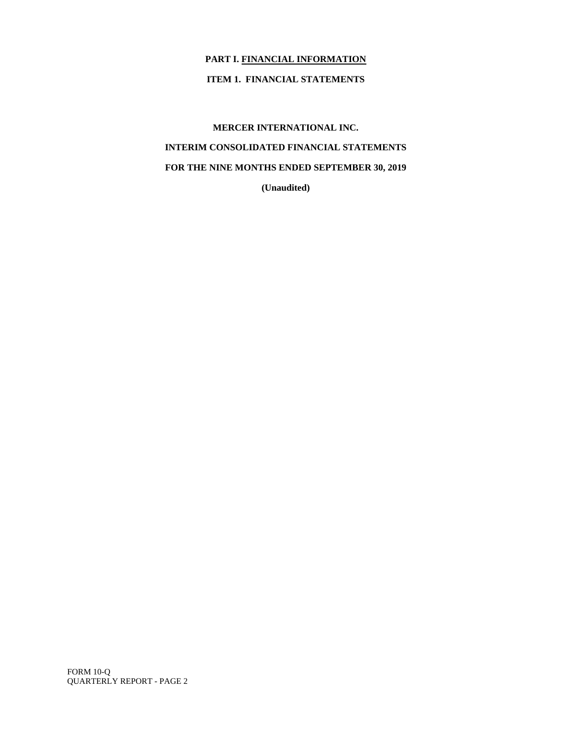## **PART I. FINANCIAL INFORMATION**

## **ITEM 1. FINANCIAL STATEMENTS**

**MERCER INTERNATIONAL INC. INTERIM CONSOLIDATED FINANCIAL STATEMENTS FOR THE NINE MONTHS ENDED SEPTEMBER 30, 2019 (Unaudited)**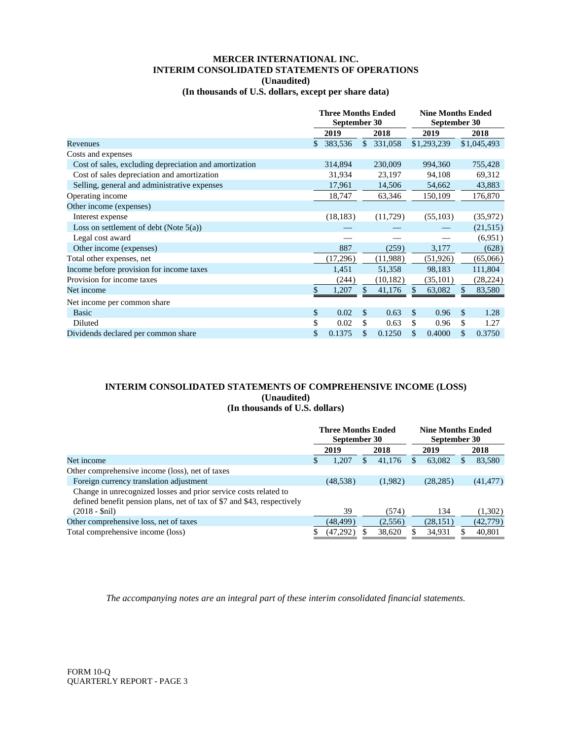## **MERCER INTERNATIONAL INC. INTERIM CONSOLIDATED STATEMENTS OF OPERATIONS (Unaudited)**

**(In thousands of U.S. dollars, except per share data)**

|                                                        | <b>Three Months Ended</b><br>September 30 |              |              | <b>Nine Months Ended</b><br>September 30 |    |             |    |             |
|--------------------------------------------------------|-------------------------------------------|--------------|--------------|------------------------------------------|----|-------------|----|-------------|
|                                                        |                                           | 2019<br>2018 |              |                                          |    | 2019        |    | 2018        |
| Revenues                                               | \$                                        | 383,536      | $\mathbf{s}$ | 331,058                                  |    | \$1,293,239 |    | \$1,045,493 |
| Costs and expenses                                     |                                           |              |              |                                          |    |             |    |             |
| Cost of sales, excluding depreciation and amortization |                                           | 314,894      |              | 230,009                                  |    | 994,360     |    | 755,428     |
| Cost of sales depreciation and amortization            |                                           | 31,934       |              | 23,197                                   |    | 94,108      |    | 69,312      |
| Selling, general and administrative expenses           |                                           | 17,961       |              | 14,506                                   |    | 54,662      |    | 43,883      |
| Operating income                                       |                                           | 18,747       |              | 63,346                                   |    | 150,109     |    | 176,870     |
| Other income (expenses)                                |                                           |              |              |                                          |    |             |    |             |
| Interest expense                                       |                                           | (18, 183)    |              | (11,729)                                 |    | (55,103)    |    | (35,972)    |
| Loss on settlement of debt (Note $5(a)$ )              |                                           |              |              |                                          |    |             |    | (21,515)    |
| Legal cost award                                       |                                           |              |              |                                          |    |             |    | (6,951)     |
| Other income (expenses)                                |                                           | 887          |              | (259)                                    |    | 3,177       |    | (628)       |
| Total other expenses, net                              |                                           | (17,296)     |              | (11,988)                                 |    | (51, 926)   |    | (65,066)    |
| Income before provision for income taxes               |                                           | 1,451        |              | 51,358                                   |    | 98,183      |    | 111,804     |
| Provision for income taxes                             |                                           | (244)        |              | (10, 182)                                |    | (35, 101)   |    | (28, 224)   |
| Net income                                             | \$                                        | 1,207        | \$           | 41,176                                   | \$ | 63,082      | \$ | 83,580      |
| Net income per common share                            |                                           |              |              |                                          |    |             |    |             |
| <b>Basic</b>                                           | \$                                        | 0.02         | \$           | 0.63                                     | \$ | 0.96        | \$ | 1.28        |
| Diluted                                                | \$                                        | 0.02         | \$           | 0.63                                     | \$ | 0.96        | \$ | 1.27        |
| Dividends declared per common share                    | \$                                        | 0.1375       | \$           | 0.1250                                   | \$ | 0.4000      | \$ | 0.3750      |

## **INTERIM CONSOLIDATED STATEMENTS OF COMPREHENSIVE INCOME (LOSS) (Unaudited)**

## **(In thousands of U.S. dollars)**

|                                                                                                                                             | <b>Three Months Ended</b><br>September 30 |           |  |         | <b>Nine Months Ended</b><br>September 30 |           |      |           |
|---------------------------------------------------------------------------------------------------------------------------------------------|-------------------------------------------|-----------|--|---------|------------------------------------------|-----------|------|-----------|
|                                                                                                                                             |                                           | 2019      |  | 2018    | 2019                                     |           | 2018 |           |
| Net income                                                                                                                                  | S                                         | 1.207     |  | 41.176  | ה.                                       | 63,082    | S    | 83,580    |
| Other comprehensive income (loss), net of taxes                                                                                             |                                           |           |  |         |                                          |           |      |           |
| Foreign currency translation adjustment                                                                                                     |                                           | (48, 538) |  | (1,982) |                                          | (28, 285) |      | (41, 477) |
| Change in unrecognized losses and prior service costs related to<br>defined benefit pension plans, net of tax of \$7 and \$43, respectively |                                           |           |  |         |                                          |           |      |           |
| $(2018 - Snil)$                                                                                                                             |                                           | 39        |  | (574)   |                                          | 134       |      | (1,302)   |
| Other comprehensive loss, net of taxes                                                                                                      |                                           | (48, 499) |  | (2,556) |                                          | (28, 151) |      | (42, 779) |
| Total comprehensive income (loss)                                                                                                           | S                                         | (47,292)  |  | 38,620  |                                          | 34,931    |      | 40.801    |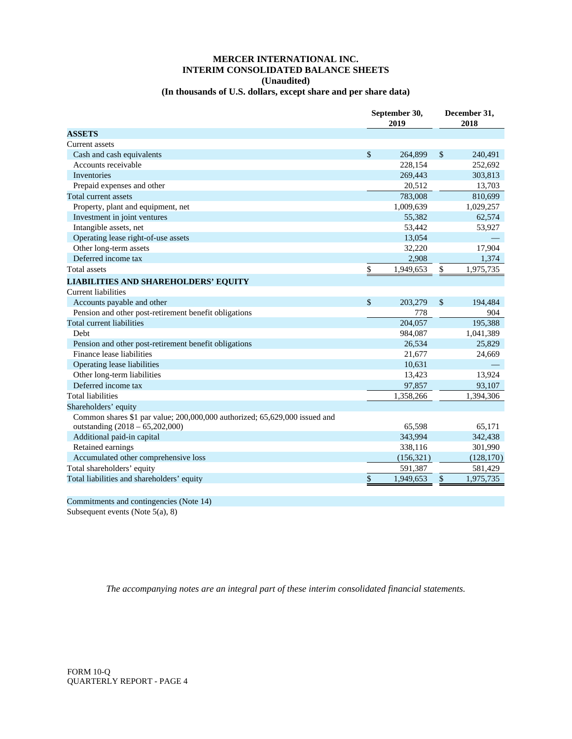## **MERCER INTERNATIONAL INC. INTERIM CONSOLIDATED BALANCE SHEETS (Unaudited)**

## **(In thousands of U.S. dollars, except share and per share data)**

|                                                                            | September 30,<br>2019 |            |    | December 31,<br>2018 |
|----------------------------------------------------------------------------|-----------------------|------------|----|----------------------|
| <b>ASSETS</b>                                                              |                       |            |    |                      |
| Current assets                                                             |                       |            |    |                      |
| Cash and cash equivalents                                                  | $\mathcal{S}$         | 264,899    | \$ | 240,491              |
| Accounts receivable                                                        |                       | 228,154    |    | 252,692              |
| <b>Inventories</b>                                                         |                       | 269,443    |    | 303,813              |
| Prepaid expenses and other                                                 |                       | 20,512     |    | 13,703               |
| Total current assets                                                       |                       | 783,008    |    | 810,699              |
| Property, plant and equipment, net                                         |                       | 1,009,639  |    | 1,029,257            |
| Investment in joint ventures                                               |                       | 55,382     |    | 62,574               |
| Intangible assets, net                                                     |                       | 53,442     |    | 53,927               |
| Operating lease right-of-use assets                                        |                       | 13,054     |    |                      |
| Other long-term assets                                                     |                       | 32,220     |    | 17,904               |
| Deferred income tax                                                        |                       | 2,908      |    | 1,374                |
| <b>Total assets</b>                                                        | \$                    | 1,949,653  | \$ | 1,975,735            |
| <b>LIABILITIES AND SHAREHOLDERS' EQUITY</b>                                |                       |            |    |                      |
| Current liabilities                                                        |                       |            |    |                      |
| Accounts payable and other                                                 | \$                    | 203,279    | \$ | 194,484              |
| Pension and other post-retirement benefit obligations                      |                       | 778        |    | 904                  |
| Total current liabilities                                                  |                       | 204,057    |    | 195,388              |
| Debt                                                                       |                       | 984,087    |    | 1,041,389            |
| Pension and other post-retirement benefit obligations                      |                       | 26,534     |    | 25,829               |
| Finance lease liabilities                                                  |                       | 21,677     |    | 24,669               |
| Operating lease liabilities                                                |                       | 10,631     |    |                      |
| Other long-term liabilities                                                |                       | 13,423     |    | 13,924               |
| Deferred income tax                                                        |                       | 97,857     |    | 93,107               |
| <b>Total liabilities</b>                                                   |                       | 1,358,266  |    | 1,394,306            |
| Shareholders' equity                                                       |                       |            |    |                      |
| Common shares \$1 par value; 200,000,000 authorized; 65,629,000 issued and |                       |            |    |                      |
| outstanding (2018 - 65,202,000)                                            |                       | 65,598     |    | 65,171               |
| Additional paid-in capital                                                 |                       | 343,994    |    | 342,438              |
| Retained earnings                                                          |                       | 338,116    |    | 301,990              |
| Accumulated other comprehensive loss                                       |                       | (156, 321) |    | (128, 170)           |
| Total shareholders' equity                                                 |                       | 591,387    |    | 581,429              |
| Total liabilities and shareholders' equity                                 | \$                    | 1,949,653  | \$ | 1,975,735            |

Commitments and contingencies (Note 14)

Subsequent events (Note 5(a), 8)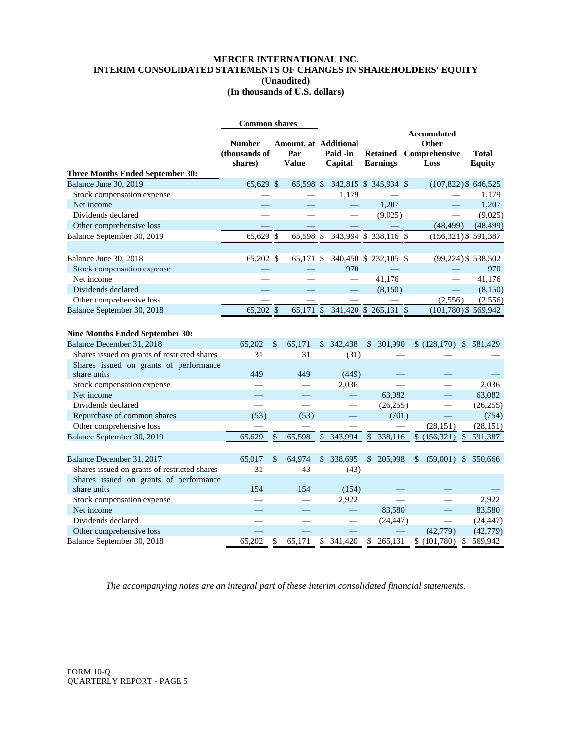## **MERCER INTERNATIONAL INC. INTERIM CONSOLIDATED STATEMENTS OF CHANGES IN SHAREHOLDERS' EQUITY (Unaudited) (In thousands of U.S. dollars)**

|                                              | <b>Common shares</b>     |    |                          |    |                          |                                    |  |                                |                               |
|----------------------------------------------|--------------------------|----|--------------------------|----|--------------------------|------------------------------------|--|--------------------------------|-------------------------------|
|                                              | <b>Number</b>            |    | Amount, at Additional    |    |                          | <b>Accumulated</b><br>Other        |  |                                |                               |
|                                              | (thousands of<br>shares) |    | Par<br><b>Value</b>      |    | Paid -in<br>Capital      | <b>Retained</b><br><b>Earnings</b> |  | Comprehensive<br>Loss          | <b>Total</b><br><b>Equity</b> |
| <b>Three Months Ended September 30:</b>      |                          |    |                          |    |                          |                                    |  |                                |                               |
| Balance June 30, 2019                        | 65,629 \$                |    | 65,598 \$                |    |                          | 342,815 \$ 345,934 \$              |  | $(107,822)$ \$646,525          |                               |
| Stock compensation expense                   |                          |    |                          |    | 1,179                    |                                    |  |                                | 1,179                         |
| Net income                                   |                          |    |                          |    |                          | 1,207                              |  |                                | 1,207                         |
| Dividends declared                           |                          |    |                          |    | $\overline{\phantom{0}}$ | (9,025)                            |  |                                | (9,025)                       |
| Other comprehensive loss                     |                          |    |                          |    |                          |                                    |  | (48, 499)                      | (48, 499)                     |
| Balance September 30, 2019                   | 65,629 \$                |    | 65,598 \$                |    |                          | 343,994 \$ 338,116 \$              |  | $(156,321)$ \$591,387          |                               |
|                                              |                          |    |                          |    |                          |                                    |  |                                |                               |
| Balance June 30, 2018                        | 65,202 \$                |    | 65,171 \$                |    |                          | 340,450 \$ 232,105 \$              |  |                                | (99,224) \$538,502            |
| Stock compensation expense                   |                          |    |                          |    | 970                      |                                    |  |                                | 970                           |
| Net income                                   |                          |    |                          |    |                          | 41,176                             |  |                                | 41,176                        |
| Dividends declared                           |                          |    |                          |    |                          | (8,150)                            |  | Ш.                             | (8,150)                       |
| Other comprehensive loss                     |                          |    |                          |    |                          |                                    |  | (2,556)                        | (2,556)                       |
| Balance September 30, 2018                   | 65,202 \$                |    | 65,171 \$                |    |                          | 341,420 \$ 265,131 \$              |  | $(101,780)$ \$569,942          |                               |
|                                              |                          |    |                          |    |                          |                                    |  |                                |                               |
| <b>Nine Months Ended September 30:</b>       |                          |    |                          |    |                          |                                    |  |                                |                               |
| Balance December 31, 2018                    | 65,202                   | \$ | 65,171                   | \$ | 342,438                  | 301,990<br>\$                      |  | \$(128,170) \$581,429          |                               |
| Shares issued on grants of restricted shares | 31                       |    | 31                       |    | (31)                     |                                    |  |                                |                               |
| Shares issued on grants of performance       |                          |    |                          |    |                          |                                    |  |                                |                               |
| share units                                  | 449                      |    | 449                      |    | (449)                    |                                    |  |                                |                               |
| Stock compensation expense                   |                          |    |                          |    | 2,036                    |                                    |  |                                | 2,036                         |
| Net income                                   |                          |    | $\overline{\phantom{0}}$ |    |                          | 63,082                             |  |                                | 63,082                        |
| Dividends declared                           |                          |    |                          |    |                          | (26, 255)                          |  |                                | (26, 255)                     |
| Repurchase of common shares                  | (53)                     |    | (53)                     |    |                          | (701)                              |  |                                | (754)                         |
| Other comprehensive loss                     |                          |    |                          |    |                          |                                    |  | (28, 151)                      | (28, 151)                     |
| Balance September 30, 2019                   | 65,629                   | \$ | 65,598                   | \$ | 343,994                  | \$<br>338,116                      |  | \$(156,321)<br>$\mathbb{S}$    | 591,387                       |
|                                              |                          |    |                          |    |                          |                                    |  |                                |                               |
| Balance December 31, 2017                    | 65,017                   | \$ | 64,974                   | \$ | 338,695                  | \$<br>205,998                      |  | (59,001)<br>\$<br>$\mathbb{S}$ | 550,666                       |
| Shares issued on grants of restricted shares | 31                       |    | 43                       |    | (43)                     |                                    |  |                                |                               |
| Shares issued on grants of performance       |                          |    |                          |    |                          |                                    |  |                                |                               |
| share units                                  | 154                      |    | 154                      |    | (154)                    |                                    |  |                                |                               |
| Stock compensation expense                   |                          |    |                          |    | 2,922                    |                                    |  |                                | 2,922                         |
| Net income                                   |                          |    | $\overline{\phantom{0}}$ |    |                          | 83,580                             |  | $\frac{1}{1}$                  | 83,580                        |
| Dividends declared                           |                          |    |                          |    |                          | (24, 447)                          |  | $\equiv$                       | (24, 447)                     |
| Other comprehensive loss                     |                          |    |                          |    |                          |                                    |  | (42, 779)                      | (42, 779)                     |
| Balance September 30, 2018                   | 65,202                   | \$ | 65,171                   | \$ | 341,420                  | \$<br>265,131                      |  | \$(101,780)<br>$\mathcal{S}$   | 569,942                       |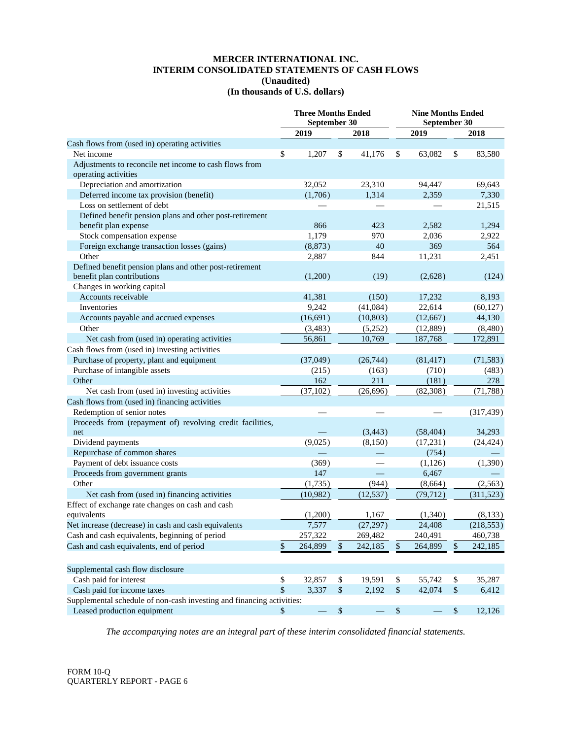## **MERCER INTERNATIONAL INC. INTERIM CONSOLIDATED STATEMENTS OF CASH FLOWS (Unaudited) (In thousands of U.S. dollars)**

|                                                                       |      | <b>Three Months Ended</b><br>September 30 |                   |           | <b>Nine Months Ended</b><br>September 30 |           |      |            |  |
|-----------------------------------------------------------------------|------|-------------------------------------------|-------------------|-----------|------------------------------------------|-----------|------|------------|--|
|                                                                       |      | 2019                                      |                   | 2018      |                                          | 2019      |      | 2018       |  |
| Cash flows from (used in) operating activities                        |      |                                           |                   |           |                                          |           |      |            |  |
| Net income                                                            | \$   | 1,207                                     | \$                | 41,176    | \$                                       | 63,082    | \$   | 83,580     |  |
| Adjustments to reconcile net income to cash flows from                |      |                                           |                   |           |                                          |           |      |            |  |
| operating activities                                                  |      |                                           |                   |           |                                          |           |      |            |  |
| Depreciation and amortization                                         |      | 32,052                                    |                   | 23,310    |                                          | 94,447    |      | 69,643     |  |
| Deferred income tax provision (benefit)                               |      | (1,706)                                   |                   | 1,314     |                                          | 2,359     |      | 7,330      |  |
| Loss on settlement of debt                                            |      |                                           |                   |           |                                          |           |      | 21,515     |  |
| Defined benefit pension plans and other post-retirement               |      |                                           |                   |           |                                          |           |      |            |  |
| benefit plan expense                                                  |      | 866                                       |                   | 423       |                                          | 2,582     |      | 1,294      |  |
| Stock compensation expense                                            |      | 1,179                                     |                   | 970       |                                          | 2,036     |      | 2,922      |  |
| Foreign exchange transaction losses (gains)                           |      | (8, 873)                                  |                   | 40        |                                          | 369       |      | 564        |  |
| Other                                                                 |      | 2,887                                     |                   | 844       |                                          | 11,231    |      | 2,451      |  |
| Defined benefit pension plans and other post-retirement               |      |                                           |                   |           |                                          |           |      |            |  |
| benefit plan contributions                                            |      | (1,200)                                   |                   | (19)      |                                          | (2,628)   |      | (124)      |  |
| Changes in working capital                                            |      |                                           |                   |           |                                          |           |      |            |  |
| Accounts receivable                                                   |      | 41,381                                    |                   | (150)     |                                          | 17,232    |      | 8,193      |  |
| Inventories                                                           |      | 9,242                                     |                   | (41,084)  |                                          | 22,614    |      | (60, 127)  |  |
| Accounts payable and accrued expenses                                 |      | (16, 691)                                 |                   | (10, 803) |                                          | (12,667)  |      | 44,130     |  |
| Other                                                                 |      | (3,483)                                   |                   | (5,252)   |                                          | (12,889)  |      | (8,480)    |  |
| Net cash from (used in) operating activities                          |      | 56,861                                    |                   | 10,769    |                                          | 187,768   |      | 172,891    |  |
| Cash flows from (used in) investing activities                        |      |                                           |                   |           |                                          |           |      |            |  |
| Purchase of property, plant and equipment                             |      | (37,049)                                  |                   | (26, 744) |                                          | (81, 417) |      | (71, 583)  |  |
| Purchase of intangible assets                                         |      | (215)                                     |                   | (163)     |                                          | (710)     |      | (483)      |  |
| Other                                                                 |      | 162                                       |                   | 211       |                                          | (181)     |      | 278        |  |
| Net cash from (used in) investing activities                          |      | (37, 102)                                 |                   | (26,696)  |                                          | (82,308)  |      | (71, 788)  |  |
| Cash flows from (used in) financing activities                        |      |                                           |                   |           |                                          |           |      |            |  |
| Redemption of senior notes                                            |      |                                           |                   |           |                                          |           |      | (317, 439) |  |
| Proceeds from (repayment of) revolving credit facilities,             |      |                                           |                   |           |                                          |           |      |            |  |
| net                                                                   |      |                                           |                   | (3, 443)  |                                          | (58, 404) |      | 34,293     |  |
| Dividend payments                                                     |      | (9,025)                                   |                   | (8,150)   |                                          | (17,231)  |      | (24, 424)  |  |
| Repurchase of common shares                                           |      |                                           |                   |           |                                          | (754)     |      |            |  |
| Payment of debt issuance costs                                        |      | (369)                                     |                   |           |                                          | (1,126)   |      | (1,390)    |  |
| Proceeds from government grants                                       |      | 147                                       |                   |           |                                          | 6,467     |      |            |  |
| Other                                                                 |      | (1,735)                                   |                   | (944)     |                                          | (8,664)   |      | (2,563)    |  |
| Net cash from (used in) financing activities                          |      | (10, 982)                                 |                   | (12, 537) |                                          | (79, 712) |      | (311, 523) |  |
| Effect of exchange rate changes on cash and cash                      |      |                                           |                   |           |                                          |           |      |            |  |
| equivalents                                                           |      | (1,200)                                   |                   | 1,167     |                                          | (1,340)   |      | (8,133)    |  |
| Net increase (decrease) in cash and cash equivalents                  |      | 7,577                                     |                   | (27, 297) |                                          | 24,408    |      | (218, 553) |  |
| Cash and cash equivalents, beginning of period                        |      | 257,322                                   |                   | 269,482   |                                          | 240,491   |      | 460,738    |  |
| Cash and cash equivalents, end of period                              | \$   | 264,899                                   | \$                | 242,185   | \$                                       | 264,899   | \$   | 242,185    |  |
| Supplemental cash flow disclosure                                     |      |                                           |                   |           |                                          |           |      |            |  |
| Cash paid for interest                                                | \$   | 32,857                                    | \$                | 19,591    | \$                                       | 55,742    | \$   | 35,287     |  |
| Cash paid for income taxes                                            | \$   | 3,337                                     | $\mathbb{S}$      | 2,192     | $\mathbb{S}$                             | 42,074    | $\,$ | 6,412      |  |
| Supplemental schedule of non-cash investing and financing activities: |      |                                           |                   |           |                                          |           |      |            |  |
| Leased production equipment                                           | $\$$ |                                           | $\boldsymbol{\$}$ |           | $\mathbb{S}$                             |           | $\,$ | 12,126     |  |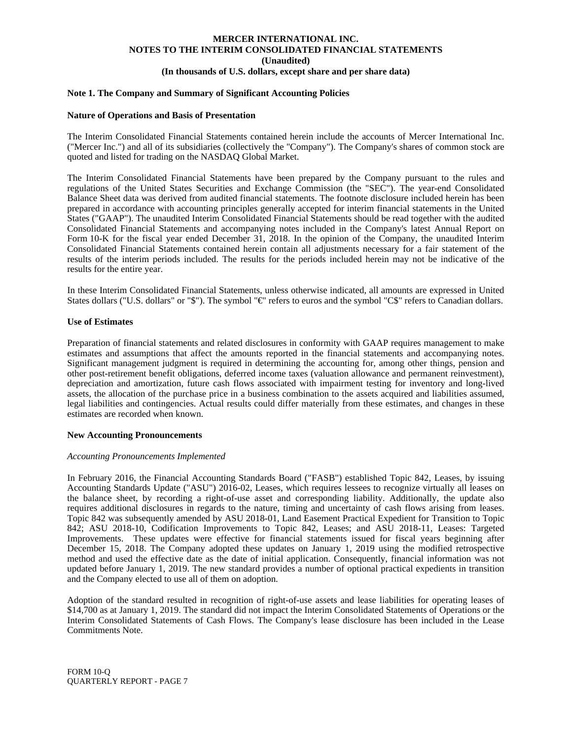#### **Note 1. The Company and Summary of Significant Accounting Policies**

#### **Nature of Operations and Basis of Presentation**

The Interim Consolidated Financial Statements contained herein include the accounts of Mercer International Inc. ("Mercer Inc.") and all of its subsidiaries (collectively the "Company"). The Company's shares of common stock are quoted and listed for trading on the NASDAQ Global Market.

The Interim Consolidated Financial Statements have been prepared by the Company pursuant to the rules and regulations of the United States Securities and Exchange Commission (the "SEC"). The year-end Consolidated Balance Sheet data was derived from audited financial statements. The footnote disclosure included herein has been prepared in accordance with accounting principles generally accepted for interim financial statements in the United States ("GAAP"). The unaudited Interim Consolidated Financial Statements should be read together with the audited Consolidated Financial Statements and accompanying notes included in the Company's latest Annual Report on Form 10-K for the fiscal year ended December 31, 2018. In the opinion of the Company, the unaudited Interim Consolidated Financial Statements contained herein contain all adjustments necessary for a fair statement of the results of the interim periods included. The results for the periods included herein may not be indicative of the results for the entire year.

In these Interim Consolidated Financial Statements, unless otherwise indicated, all amounts are expressed in United States dollars ("U.S. dollars" or "\$"). The symbol "€" refers to euros and the symbol "C\$" refers to Canadian dollars.

#### **Use of Estimates**

Preparation of financial statements and related disclosures in conformity with GAAP requires management to make estimates and assumptions that affect the amounts reported in the financial statements and accompanying notes. Significant management judgment is required in determining the accounting for, among other things, pension and other post-retirement benefit obligations, deferred income taxes (valuation allowance and permanent reinvestment), depreciation and amortization, future cash flows associated with impairment testing for inventory and long-lived assets, the allocation of the purchase price in a business combination to the assets acquired and liabilities assumed, legal liabilities and contingencies. Actual results could differ materially from these estimates, and changes in these estimates are recorded when known.

#### **New Accounting Pronouncements**

#### *Accounting Pronouncements Implemented*

In February 2016, the Financial Accounting Standards Board ("FASB") established Topic 842, Leases, by issuing Accounting Standards Update ("ASU") 2016-02, Leases, which requires lessees to recognize virtually all leases on the balance sheet, by recording a right-of-use asset and corresponding liability. Additionally, the update also requires additional disclosures in regards to the nature, timing and uncertainty of cash flows arising from leases. Topic 842 was subsequently amended by ASU 2018-01, Land Easement Practical Expedient for Transition to Topic 842; ASU 2018-10, Codification Improvements to Topic 842, Leases; and ASU 2018-11, Leases: Targeted Improvements. These updates were effective for financial statements issued for fiscal years beginning after December 15, 2018. The Company adopted these updates on January 1, 2019 using the modified retrospective method and used the effective date as the date of initial application. Consequently, financial information was not updated before January 1, 2019. The new standard provides a number of optional practical expedients in transition and the Company elected to use all of them on adoption.

Adoption of the standard resulted in recognition of right-of-use assets and lease liabilities for operating leases of \$14,700 as at January 1, 2019. The standard did not impact the Interim Consolidated Statements of Operations or the Interim Consolidated Statements of Cash Flows. The Company's lease disclosure has been included in the Lease Commitments Note.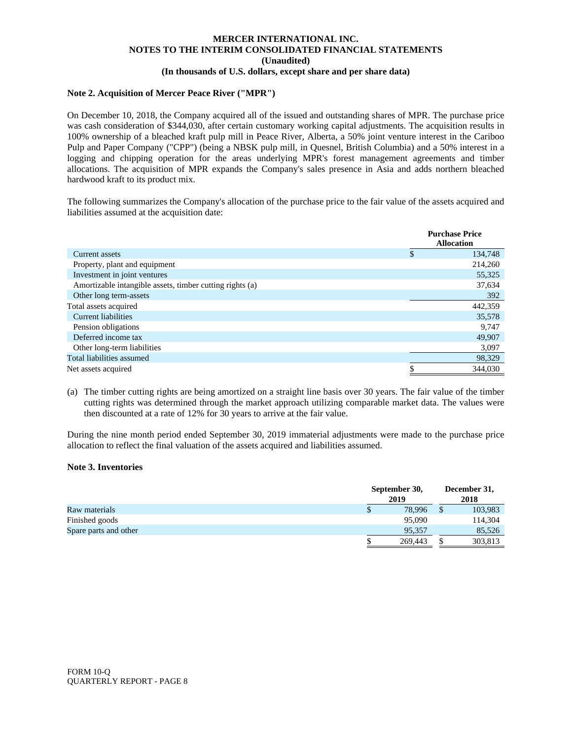## **Note 2. Acquisition of Mercer Peace River ("MPR")**

On December 10, 2018, the Company acquired all of the issued and outstanding shares of MPR. The purchase price was cash consideration of \$344,030, after certain customary working capital adjustments. The acquisition results in 100% ownership of a bleached kraft pulp mill in Peace River, Alberta, a 50% joint venture interest in the Cariboo Pulp and Paper Company ("CPP") (being a NBSK pulp mill, in Quesnel, British Columbia) and a 50% interest in a logging and chipping operation for the areas underlying MPR's forest management agreements and timber allocations. The acquisition of MPR expands the Company's sales presence in Asia and adds northern bleached hardwood kraft to its product mix.

The following summarizes the Company's allocation of the purchase price to the fair value of the assets acquired and liabilities assumed at the acquisition date:

|                                                          | <b>Purchase Price</b><br><b>Allocation</b> |
|----------------------------------------------------------|--------------------------------------------|
| Current assets                                           | \$<br>134,748                              |
| Property, plant and equipment                            | 214,260                                    |
| Investment in joint ventures                             | 55,325                                     |
| Amortizable intangible assets, timber cutting rights (a) | 37,634                                     |
| Other long term-assets                                   | 392                                        |
| Total assets acquired                                    | 442,359                                    |
| Current liabilities                                      | 35,578                                     |
| Pension obligations                                      | 9,747                                      |
| Deferred income tax                                      | 49,907                                     |
| Other long-term liabilities                              | 3,097                                      |
| Total liabilities assumed                                | 98,329                                     |
| Net assets acquired                                      | 344,030                                    |

(a) The timber cutting rights are being amortized on a straight line basis over 30 years. The fair value of the timber cutting rights was determined through the market approach utilizing comparable market data. The values were then discounted at a rate of 12% for 30 years to arrive at the fair value.

During the nine month period ended September 30, 2019 immaterial adjustments were made to the purchase price allocation to reflect the final valuation of the assets acquired and liabilities assumed.

## **Note 3. Inventories**

|                       |   | September 30, |  | December 31, |
|-----------------------|---|---------------|--|--------------|
|                       |   | 2019          |  | 2018         |
| Raw materials         | D | 78,996        |  | 103,983      |
| Finished goods        |   | 95,090        |  | 114,304      |
| Spare parts and other |   | 95,357        |  | 85,526       |
|                       |   | 269,443       |  | 303,813      |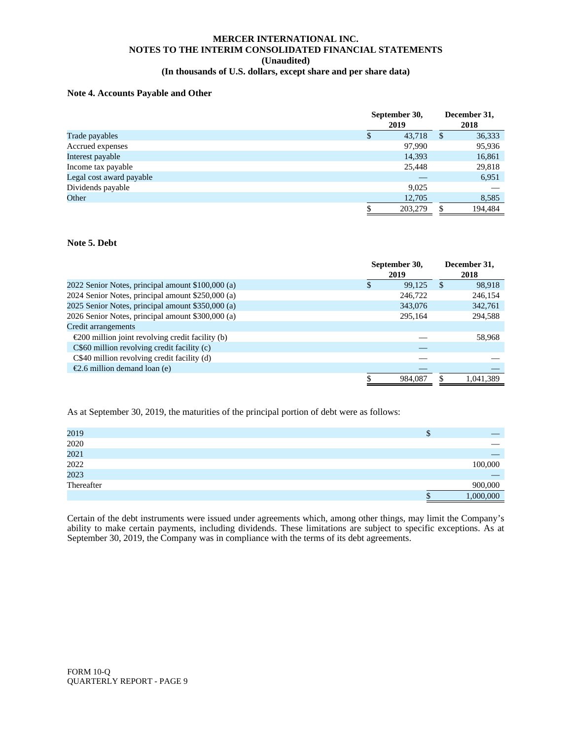## **Note 4. Accounts Payable and Other**

|                          | September 30,<br>2019 |               | December 31,<br>2018 |
|--------------------------|-----------------------|---------------|----------------------|
| Trade payables           | 43.718                | <sup>\$</sup> | 36,333               |
| Accrued expenses         | 97,990                |               | 95,936               |
| Interest payable         | 14,393                |               | 16,861               |
| Income tax payable       | 25,448                |               | 29,818               |
| Legal cost award payable |                       |               | 6,951                |
| Dividends payable        | 9,025                 |               |                      |
| Other                    | 12,705                |               | 8,585                |
|                          | 203,279               | \$            | 194.484              |

## **Note 5. Debt**

|                                                            |     | September 30,<br>2019 |               | December 31,<br>2018 |
|------------------------------------------------------------|-----|-----------------------|---------------|----------------------|
| 2022 Senior Notes, principal amount \$100,000 (a)          | \$. | 99.125                | <sup>\$</sup> | 98.918               |
| 2024 Senior Notes, principal amount \$250,000 (a)          |     | 246,722               |               | 246,154              |
| 2025 Senior Notes, principal amount \$350,000 (a)          |     | 343,076               |               | 342,761              |
| 2026 Senior Notes, principal amount \$300,000 (a)          |     | 295.164               |               | 294,588              |
| Credit arrangements                                        |     |                       |               |                      |
| $\epsilon$ 200 million joint revolving credit facility (b) |     |                       |               | 58,968               |
| C\$60 million revolving credit facility (c)                |     |                       |               |                      |
| C\$40 million revolving credit facility (d)                |     |                       |               |                      |
| €2.6 million demand loan (e)                               |     |                       |               |                      |
|                                                            |     | 984.087               |               | 1,041,389            |

As at September 30, 2019, the maturities of the principal portion of debt were as follows:

| 2019               | Φ |           |
|--------------------|---|-----------|
| $2020\,$           |   |           |
| 2021               |   |           |
| 2022               |   | 100,000   |
| 2023<br>Thereafter |   |           |
|                    |   | 900,000   |
|                    |   | 000,000.1 |

Certain of the debt instruments were issued under agreements which, among other things, may limit the Company's ability to make certain payments, including dividends. These limitations are subject to specific exceptions. As at September 30, 2019, the Company was in compliance with the terms of its debt agreements.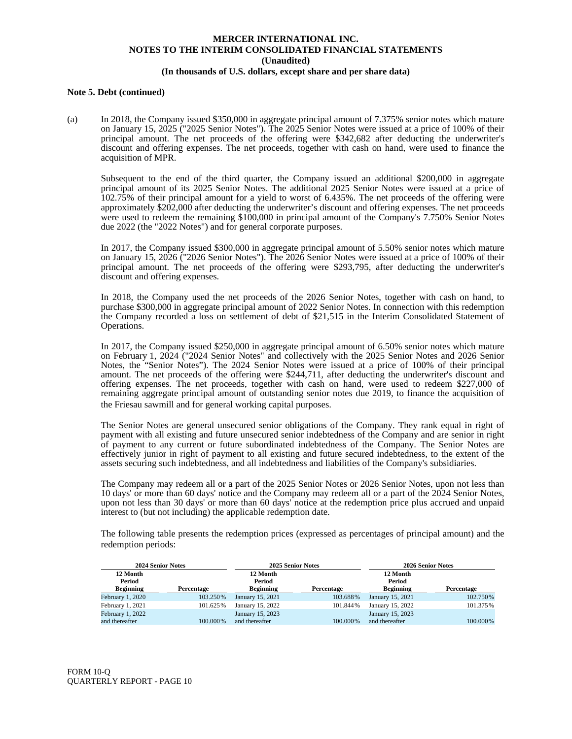#### **Note 5. Debt (continued)**

(a) In 2018, the Company issued \$350,000 in aggregate principal amount of 7.375% senior notes which mature on January 15, 2025 ("2025 Senior Notes"). The 2025 Senior Notes were issued at a price of 100% of their principal amount. The net proceeds of the offering were \$342,682 after deducting the underwriter's discount and offering expenses. The net proceeds, together with cash on hand, were used to finance the acquisition of MPR.

Subsequent to the end of the third quarter, the Company issued an additional \$200,000 in aggregate principal amount of its 2025 Senior Notes. The additional 2025 Senior Notes were issued at a price of 102.75% of their principal amount for a yield to worst of 6.435%. The net proceeds of the offering were approximately \$202,000 after deducting the underwriter's discount and offering expenses. The net proceeds were used to redeem the remaining \$100,000 in principal amount of the Company's 7.750% Senior Notes due 2022 (the "2022 Notes") and for general corporate purposes.

In 2017, the Company issued \$300,000 in aggregate principal amount of 5.50% senior notes which mature on January 15, 2026 ("2026 Senior Notes"). The 2026 Senior Notes were issued at a price of 100% of their principal amount. The net proceeds of the offering were \$293,795, after deducting the underwriter's discount and offering expenses.

In 2018, the Company used the net proceeds of the 2026 Senior Notes, together with cash on hand, to purchase \$300,000 in aggregate principal amount of 2022 Senior Notes. In connection with this redemption the Company recorded a loss on settlement of debt of \$21,515 in the Interim Consolidated Statement of Operations.

In 2017, the Company issued \$250,000 in aggregate principal amount of 6.50% senior notes which mature on February 1, 2024 ("2024 Senior Notes" and collectively with the 2025 Senior Notes and 2026 Senior Notes, the "Senior Notes"). The 2024 Senior Notes were issued at a price of 100% of their principal amount. The net proceeds of the offering were \$244,711, after deducting the underwriter's discount and offering expenses. The net proceeds, together with cash on hand, were used to redeem \$227,000 of remaining aggregate principal amount of outstanding senior notes due 2019, to finance the acquisition of the Friesau sawmill and for general working capital purposes.

The Senior Notes are general unsecured senior obligations of the Company. They rank equal in right of payment with all existing and future unsecured senior indebtedness of the Company and are senior in right of payment to any current or future subordinated indebtedness of the Company. The Senior Notes are effectively junior in right of payment to all existing and future secured indebtedness, to the extent of the assets securing such indebtedness, and all indebtedness and liabilities of the Company's subsidiaries.

The Company may redeem all or a part of the 2025 Senior Notes or 2026 Senior Notes, upon not less than 10 days' or more than 60 days' notice and the Company may redeem all or a part of the 2024 Senior Notes, upon not less than 30 days' or more than 60 days' notice at the redemption price plus accrued and unpaid interest to (but not including) the applicable redemption date.

The following table presents the redemption prices (expressed as percentages of principal amount) and the redemption periods:

| <b>2024 Senior Notes</b> |            |                  | 2025 Senior Notes |                  | 2026 Senior Notes |
|--------------------------|------------|------------------|-------------------|------------------|-------------------|
| 12 Month                 |            | 12 Month         |                   | 12 Month         |                   |
| Period                   |            | Period           |                   | Period           |                   |
| <b>Beginning</b>         | Percentage | <b>Beginning</b> | Percentage        | <b>Beginning</b> | Percentage        |
| February 1, 2020         | 103.250%   | January 15, 2021 | 103.688%          | January 15, 2021 | 102.750%          |
| February 1, 2021         | 101.625%   | January 15, 2022 | 101.844%          | January 15, 2022 | 101.375%          |
| February 1, 2022         |            | January 15, 2023 |                   | January 15, 2023 |                   |
| and thereafter           | 100,000%   | and thereafter   | 100,000%          | and thereafter   | 100,000%          |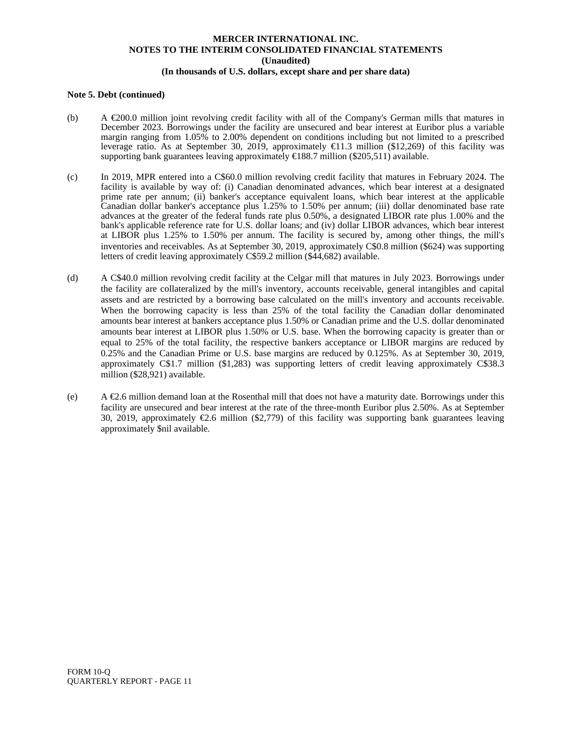## **Note 5. Debt (continued)**

- (b) A  $\epsilon$ 200.0 million joint revolving credit facility with all of the Company's German mills that matures in December 2023. Borrowings under the facility are unsecured and bear interest at Euribor plus a variable margin ranging from 1.05% to 2.00% dependent on conditions including but not limited to a prescribed leverage ratio. As at September 30, 2019, approximately €11.3 million (\$12,269) of this facility was supporting bank guarantees leaving approximately  $\in$  188.7 million (\$205,511) available.
- (c) In 2019, MPR entered into a C\$60.0 million revolving credit facility that matures in February 2024. The facility is available by way of: (i) Canadian denominated advances, which bear interest at a designated prime rate per annum; (ii) banker's acceptance equivalent loans, which bear interest at the applicable Canadian dollar banker's acceptance plus 1.25% to 1.50% per annum; (iii) dollar denominated base rate advances at the greater of the federal funds rate plus 0.50%, a designated LIBOR rate plus 1.00% and the bank's applicable reference rate for U.S. dollar loans; and (iv) dollar LIBOR advances, which bear interest at LIBOR plus 1.25% to 1.50% per annum. The facility is secured by, among other things, the mill's inventories and receivables. As at September 30, 2019, approximately C\$0.8 million (\$624) was supporting letters of credit leaving approximately C\$59.2 million (\$44,682) available.
- (d) A C\$40.0 million revolving credit facility at the Celgar mill that matures in July 2023. Borrowings under the facility are collateralized by the mill's inventory, accounts receivable, general intangibles and capital assets and are restricted by a borrowing base calculated on the mill's inventory and accounts receivable. When the borrowing capacity is less than 25% of the total facility the Canadian dollar denominated amounts bear interest at bankers acceptance plus 1.50% or Canadian prime and the U.S. dollar denominated amounts bear interest at LIBOR plus 1.50% or U.S. base. When the borrowing capacity is greater than or equal to 25% of the total facility, the respective bankers acceptance or LIBOR margins are reduced by 0.25% and the Canadian Prime or U.S. base margins are reduced by 0.125%. As at September 30, 2019, approximately C\$1.7 million (\$1,283) was supporting letters of credit leaving approximately C\$38.3 million (\$28,921) available.
- (e) A  $\epsilon$ 2.6 million demand loan at the Rosenthal mill that does not have a maturity date. Borrowings under this facility are unsecured and bear interest at the rate of the three-month Euribor plus 2.50%. As at September 30, 2019, approximately €2.6 million (\$2,779) of this facility was supporting bank guarantees leaving approximately \$nil available.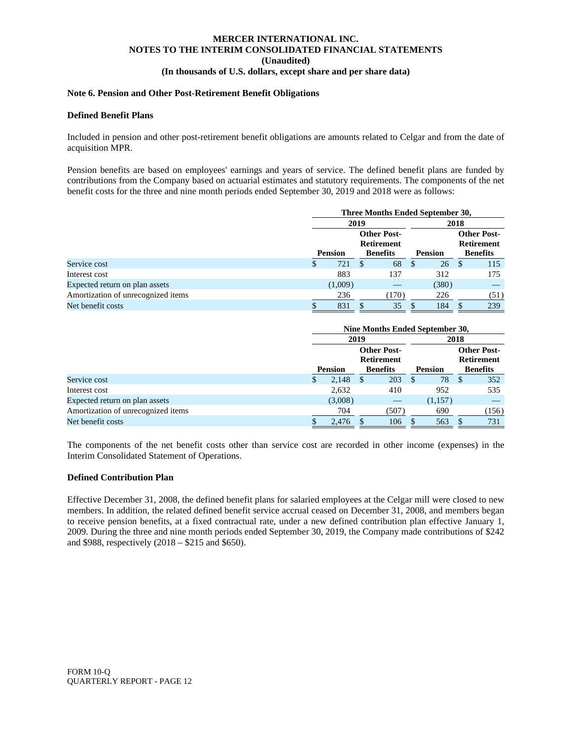## **Note 6. Pension and Other Post-Retirement Benefit Obligations**

#### **Defined Benefit Plans**

Included in pension and other post-retirement benefit obligations are amounts related to Celgar and from the date of acquisition MPR.

Pension benefits are based on employees' earnings and years of service. The defined benefit plans are funded by contributions from the Company based on actuarial estimates and statutory requirements. The components of the net benefit costs for the three and nine month periods ended September 30, 2019 and 2018 were as follows:

|                                    | Three Months Ended September 30,        |         |                 |       |                |       |                                         |      |  |  |
|------------------------------------|-----------------------------------------|---------|-----------------|-------|----------------|-------|-----------------------------------------|------|--|--|
|                                    | 2019                                    |         |                 |       | 2018           |       |                                         |      |  |  |
|                                    | <b>Other Post-</b><br><b>Retirement</b> |         |                 |       |                |       | <b>Other Post-</b><br><b>Retirement</b> |      |  |  |
|                                    | <b>Pension</b>                          |         | <b>Benefits</b> |       | <b>Pension</b> |       | <b>Benefits</b>                         |      |  |  |
| Service cost                       | \$                                      | 721     | \$.             | 68    | -S             | 26    | -S                                      | 115  |  |  |
| Interest cost                      |                                         | 883     |                 | 137   |                | 312   |                                         | 175  |  |  |
| Expected return on plan assets     |                                         | (1,009) |                 |       |                | (380) |                                         |      |  |  |
| Amortization of unrecognized items |                                         | 236     |                 | (170) |                | 226   |                                         | (51) |  |  |
| Net benefit costs                  |                                         | 831     |                 | 35    |                | 184   |                                         | 239  |  |  |

|                                    | Nine Months Ended September 30,                                              |    |       |                |         |    |       |                                                            |  |  |  |
|------------------------------------|------------------------------------------------------------------------------|----|-------|----------------|---------|----|-------|------------------------------------------------------------|--|--|--|
|                                    | 2019                                                                         |    |       |                | 2018    |    |       |                                                            |  |  |  |
|                                    | <b>Other Post-</b><br><b>Retirement</b><br><b>Pension</b><br><b>Benefits</b> |    |       | <b>Pension</b> |         |    |       | <b>Other Post-</b><br><b>Retirement</b><br><b>Benefits</b> |  |  |  |
| Service cost                       | \$<br>2,148                                                                  | -S | 203   | <sup>\$</sup>  | 78      | -S | 352   |                                                            |  |  |  |
| Interest cost                      | 2,632                                                                        |    | 410   |                | 952     |    | 535   |                                                            |  |  |  |
| Expected return on plan assets     | (3,008)                                                                      |    |       |                | (1,157) |    |       |                                                            |  |  |  |
| Amortization of unrecognized items | 704                                                                          |    | (507) |                | 690     |    | (156) |                                                            |  |  |  |
| Net benefit costs                  | 2.476                                                                        |    | 106   |                | 563     |    | 731   |                                                            |  |  |  |

The components of the net benefit costs other than service cost are recorded in other income (expenses) in the Interim Consolidated Statement of Operations.

## **Defined Contribution Plan**

Effective December 31, 2008, the defined benefit plans for salaried employees at the Celgar mill were closed to new members. In addition, the related defined benefit service accrual ceased on December 31, 2008, and members began to receive pension benefits, at a fixed contractual rate, under a new defined contribution plan effective January 1, 2009. During the three and nine month periods ended September 30, 2019, the Company made contributions of \$242 and \$988, respectively (2018 – \$215 and \$650).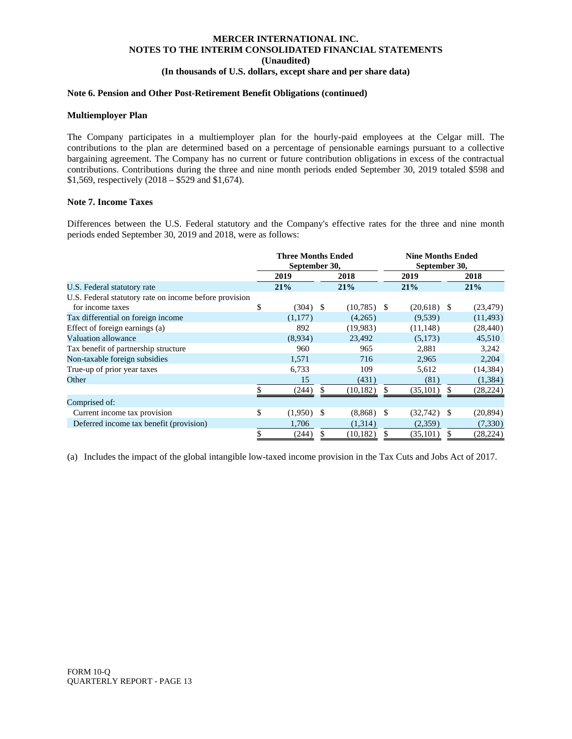#### **Note 6. Pension and Other Post-Retirement Benefit Obligations (continued)**

#### **Multiemployer Plan**

The Company participates in a multiemployer plan for the hourly-paid employees at the Celgar mill. The contributions to the plan are determined based on a percentage of pensionable earnings pursuant to a collective bargaining agreement. The Company has no current or future contribution obligations in excess of the contractual contributions. Contributions during the three and nine month periods ended September 30, 2019 totaled \$598 and \$1,569, respectively (2018 – \$529 and \$1,674).

## **Note 7. Income Taxes**

Differences between the U.S. Federal statutory and the Company's effective rates for the three and nine month periods ended September 30, 2019 and 2018, were as follows:

|                                                        | <b>Three Months Ended</b><br>September 30, |      |               |     | <b>Nine Months Ended</b><br>September 30, |   |           |  |  |  |  |  |  |  |  |  |     |  |  |     |
|--------------------------------------------------------|--------------------------------------------|------|---------------|-----|-------------------------------------------|---|-----------|--|--|--|--|--|--|--|--|--|-----|--|--|-----|
|                                                        | 2019                                       |      | 2018          |     | 2019                                      |   | 2018      |  |  |  |  |  |  |  |  |  |     |  |  |     |
| U.S. Federal statutory rate                            | 21%                                        |      | 21%           |     |                                           |   |           |  |  |  |  |  |  |  |  |  | 21% |  |  | 21% |
| U.S. Federal statutory rate on income before provision |                                            |      |               |     |                                           |   |           |  |  |  |  |  |  |  |  |  |     |  |  |     |
| for income taxes                                       | \$<br>(304)                                | - \$ | $(10,785)$ \$ |     | $(20,618)$ \$                             |   | (23, 479) |  |  |  |  |  |  |  |  |  |     |  |  |     |
| Tax differential on foreign income                     | (1,177)                                    |      | (4,265)       |     | (9,539)                                   |   | (11, 493) |  |  |  |  |  |  |  |  |  |     |  |  |     |
| Effect of foreign earnings (a)                         | 892                                        |      | (19,983)      |     | (11, 148)                                 |   | (28, 440) |  |  |  |  |  |  |  |  |  |     |  |  |     |
| Valuation allowance                                    | (8,934)                                    |      | 23,492        |     | (5,173)                                   |   | 45,510    |  |  |  |  |  |  |  |  |  |     |  |  |     |
| Tax benefit of partnership structure                   | 960                                        |      | 965           |     | 2,881                                     |   | 3,242     |  |  |  |  |  |  |  |  |  |     |  |  |     |
| Non-taxable foreign subsidies                          | 1,571                                      |      | 716           |     | 2,965                                     |   | 2,204     |  |  |  |  |  |  |  |  |  |     |  |  |     |
| True-up of prior year taxes                            | 6,733                                      |      | 109           |     | 5,612                                     |   | (14, 384) |  |  |  |  |  |  |  |  |  |     |  |  |     |
| Other                                                  | 15                                         |      | (431)         |     | (81)                                      |   | (1, 384)  |  |  |  |  |  |  |  |  |  |     |  |  |     |
|                                                        | (244)                                      |      | (10, 182)     |     | (35, 101)                                 |   | (28, 224) |  |  |  |  |  |  |  |  |  |     |  |  |     |
| Comprised of:                                          |                                            |      |               |     |                                           |   |           |  |  |  |  |  |  |  |  |  |     |  |  |     |
| Current income tax provision                           | \$<br>(1,950)                              | - \$ | $(8,868)$ \$  |     | $(32,742)$ \$                             |   | (20, 894) |  |  |  |  |  |  |  |  |  |     |  |  |     |
| Deferred income tax benefit (provision)                | 1.706                                      |      | (1,314)       |     | (2,359)                                   |   | (7,330)   |  |  |  |  |  |  |  |  |  |     |  |  |     |
|                                                        | \$<br>(244)                                | S    | (10, 182)     | \$. | (35, 101)                                 | S | (28, 224) |  |  |  |  |  |  |  |  |  |     |  |  |     |

(a) Includes the impact of the global intangible low-taxed income provision in the Tax Cuts and Jobs Act of 2017.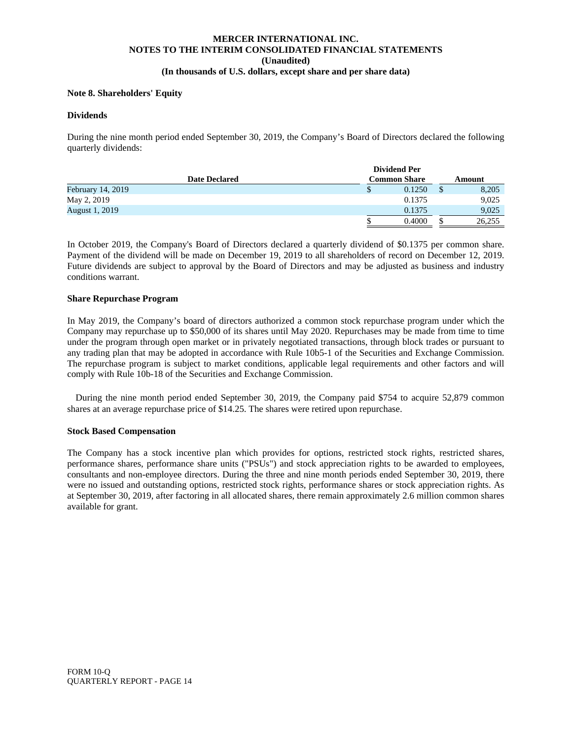#### **Note 8. Shareholders' Equity**

#### **Dividends**

During the nine month period ended September 30, 2019, the Company's Board of Directors declared the following quarterly dividends:

|                          |                     | <b>Dividend Per</b> |        |        |
|--------------------------|---------------------|---------------------|--------|--------|
| <b>Date Declared</b>     | <b>Common Share</b> |                     | Amount |        |
| <b>February 14, 2019</b> |                     | \$<br>0.1250        |        | 8,205  |
| May 2, 2019              |                     | 0.1375              |        | 9,025  |
| <b>August 1, 2019</b>    |                     | 0.1375              |        | 9,025  |
|                          |                     | 0.4000              | \$.    | 26,255 |

In October 2019, the Company's Board of Directors declared a quarterly dividend of \$0.1375 per common share. Payment of the dividend will be made on December 19, 2019 to all shareholders of record on December 12, 2019. Future dividends are subject to approval by the Board of Directors and may be adjusted as business and industry conditions warrant.

## **Share Repurchase Program**

In May 2019, the Company's board of directors authorized a common stock repurchase program under which the Company may repurchase up to \$50,000 of its shares until May 2020. Repurchases may be made from time to time under the program through open market or in privately negotiated transactions, through block trades or pursuant to any trading plan that may be adopted in accordance with Rule 10b5-1 of the Securities and Exchange Commission. The repurchase program is subject to market conditions, applicable legal requirements and other factors and will comply with Rule 10b-18 of the Securities and Exchange Commission.

 During the nine month period ended September 30, 2019, the Company paid \$754 to acquire 52,879 common shares at an average repurchase price of \$14.25. The shares were retired upon repurchase.

## **Stock Based Compensation**

The Company has a stock incentive plan which provides for options, restricted stock rights, restricted shares, performance shares, performance share units ("PSUs") and stock appreciation rights to be awarded to employees, consultants and non-employee directors. During the three and nine month periods ended September 30, 2019, there were no issued and outstanding options, restricted stock rights, performance shares or stock appreciation rights. As at September 30, 2019, after factoring in all allocated shares, there remain approximately 2.6 million common shares available for grant.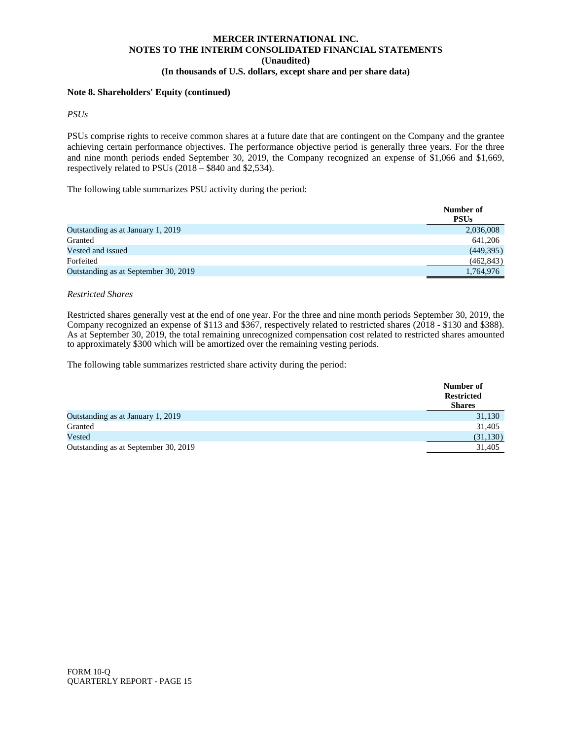## **Note 8. Shareholders' Equity (continued)**

*PSUs*

PSUs comprise rights to receive common shares at a future date that are contingent on the Company and the grantee achieving certain performance objectives. The performance objective period is generally three years. For the three and nine month periods ended September 30, 2019, the Company recognized an expense of \$1,066 and \$1,669, respectively related to PSUs (2018 – \$840 and \$2,534).

The following table summarizes PSU activity during the period:

|                                      | Number of<br><b>PSUs</b> |
|--------------------------------------|--------------------------|
| Outstanding as at January 1, 2019    | 2,036,008                |
| Granted                              | 641,206                  |
| Vested and issued                    | (449,395)                |
| Forfeited                            | (462, 843)               |
| Outstanding as at September 30, 2019 | 1,764,976                |

## *Restricted Shares*

Restricted shares generally vest at the end of one year. For the three and nine month periods September 30, 2019, the Company recognized an expense of \$113 and \$367, respectively related to restricted shares (2018 - \$130 and \$388). As at September 30, 2019, the total remaining unrecognized compensation cost related to restricted shares amounted to approximately \$300 which will be amortized over the remaining vesting periods.

The following table summarizes restricted share activity during the period:

|                                      | Number of         |
|--------------------------------------|-------------------|
|                                      | <b>Restricted</b> |
|                                      | <b>Shares</b>     |
| Outstanding as at January 1, 2019    | 31,130            |
| Granted                              | 31,405            |
| Vested                               | (31, 130)         |
| Outstanding as at September 30, 2019 | 31,405            |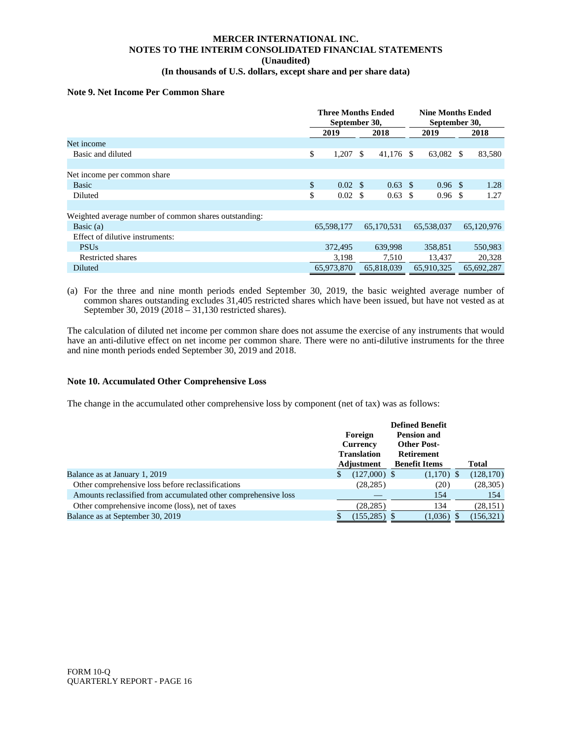## **MERCER INTERNATIONAL INC. NOTES TO THE INTERIM CONSOLIDATED FINANCIAL STATEMENTS (Unaudited)**

## **(In thousands of U.S. dollars, except share and per share data)**

## **Note 9. Net Income Per Common Share**

|                                                       |      | September 30,      |      | <b>Three Months Ended</b> |      | <b>Nine Months Ended</b><br>September 30, |  |            |
|-------------------------------------------------------|------|--------------------|------|---------------------------|------|-------------------------------------------|--|------------|
|                                                       | 2019 |                    | 2018 |                           | 2019 |                                           |  | 2018       |
| Net income                                            |      |                    |      |                           |      |                                           |  |            |
| Basic and diluted                                     | \$   | 1,207              | -S   | $41,176$ \$               |      | 63,082 \$                                 |  | 83,580     |
|                                                       |      |                    |      |                           |      |                                           |  |            |
| Net income per common share                           |      |                    |      |                           |      |                                           |  |            |
| <b>Basic</b>                                          | \$   | $0.02 \text{ }$ \$ |      | $0.63 \text{ }$ \$        |      | $0.96 \text{ }$ \$                        |  | 1.28       |
| Diluted                                               | \$   | $0.02 \text{ }$ \$ |      | $0.63 \text{ }$ \$        |      | $0.96 \text{ }$ \$                        |  | 1.27       |
|                                                       |      |                    |      |                           |      |                                           |  |            |
| Weighted average number of common shares outstanding: |      |                    |      |                           |      |                                           |  |            |
| Basic $(a)$                                           |      | 65,598,177         |      | 65,170,531                |      | 65,538,037                                |  | 65,120,976 |
| Effect of dilutive instruments:                       |      |                    |      |                           |      |                                           |  |            |
| <b>PSUs</b>                                           |      | 372,495            |      | 639.998                   |      | 358.851                                   |  | 550,983    |
| <b>Restricted shares</b>                              |      | 3,198              |      | 7.510                     |      | 13.437                                    |  | 20,328     |
| Diluted                                               |      | 65,973,870         |      | 65,818,039                |      | 65,910,325                                |  | 65,692,287 |

(a) For the three and nine month periods ended September 30, 2019, the basic weighted average number of common shares outstanding excludes 31,405 restricted shares which have been issued, but have not vested as at September 30, 2019 (2018 – 31,130 restricted shares).

The calculation of diluted net income per common share does not assume the exercise of any instruments that would have an anti-dilutive effect on net income per common share. There were no anti-dilutive instruments for the three and nine month periods ended September 30, 2019 and 2018.

## **Note 10. Accumulated Other Comprehensive Loss**

The change in the accumulated other comprehensive loss by component (net of tax) was as follows:

|                                                                |   |                                       | <b>Defined Benefit</b>                   |            |
|----------------------------------------------------------------|---|---------------------------------------|------------------------------------------|------------|
|                                                                |   | Foreign                               | <b>Pension and</b><br><b>Other Post-</b> |            |
|                                                                |   | <b>Currency</b><br><b>Translation</b> |                                          |            |
|                                                                |   | Adjustment                            | <b>Benefit Items</b>                     | Total      |
| Balance as at January 1, 2019                                  | S | $(127,000)$ \$                        | $(1,170)$ \$                             | (128,170)  |
| Other comprehensive loss before reclassifications              |   | (28, 285)                             | (20)                                     | (28, 305)  |
| Amounts reclassified from accumulated other comprehensive loss |   |                                       | 154                                      | 154        |
| Other comprehensive income (loss), net of taxes                |   | (28, 285)                             | 134                                      | (28, 151)  |
| Balance as at September 30, 2019                               |   | $(155, 285)$ \$                       | (1,036)                                  | (156, 321) |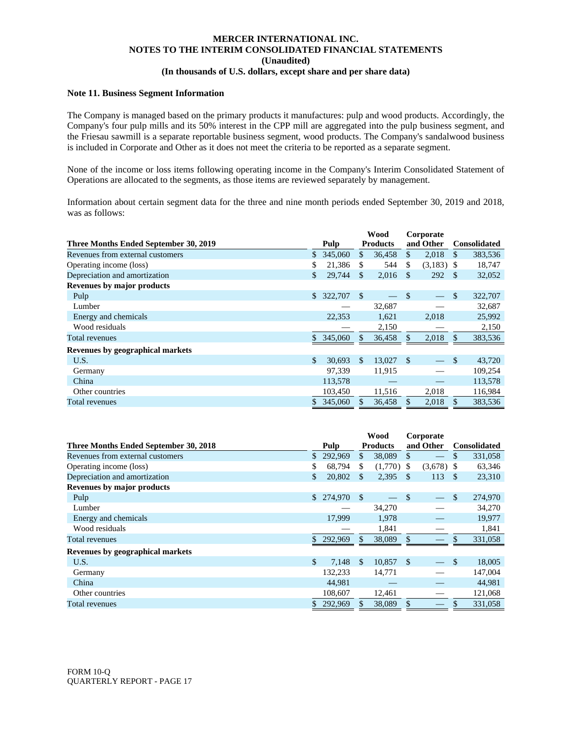## **Note 11. Business Segment Information**

The Company is managed based on the primary products it manufactures: pulp and wood products. Accordingly, the Company's four pulp mills and its 50% interest in the CPP mill are aggregated into the pulp business segment, and the Friesau sawmill is a separate reportable business segment, wood products. The Company's sandalwood business is included in Corporate and Other as it does not meet the criteria to be reported as a separate segment.

None of the income or loss items following operating income in the Company's Interim Consolidated Statement of Operations are allocated to the segments, as those items are reviewed separately by management.

Information about certain segment data for the three and nine month periods ended September 30, 2019 and 2018, was as follows:

|                                       |     |           |              | <b>Wood</b>     | Corporate    |              |               |                     |  |
|---------------------------------------|-----|-----------|--------------|-----------------|--------------|--------------|---------------|---------------------|--|
| Three Months Ended September 30, 2019 |     | Pulp      |              | <b>Products</b> |              | and Other    |               | <b>Consolidated</b> |  |
| Revenues from external customers      | \$  | 345,060   | \$           | 36,458          | $\mathbb{S}$ | 2,018        | \$            | 383,536             |  |
| Operating income (loss)               | \$  | 21,386    | \$           | 544             | \$.          | $(3,183)$ \$ |               | 18,747              |  |
| Depreciation and amortization         | \$  | 29.744    | \$.          | 2,016           | <b>S</b>     | 292          | <sup>\$</sup> | 32,052              |  |
| <b>Revenues by major products</b>     |     |           |              |                 |              |              |               |                     |  |
| Pulp                                  |     | \$322,707 | $\mathbb{S}$ |                 | \$           |              | \$            | 322,707             |  |
| Lumber                                |     |           |              | 32,687          |              |              |               | 32,687              |  |
| Energy and chemicals                  |     | 22,353    |              | 1,621           |              | 2,018        |               | 25,992              |  |
| Wood residuals                        |     |           |              | 2,150           |              |              |               | 2,150               |  |
| Total revenues                        | \$. | 345,060   |              | 36,458          |              | 2,018        | \$            | 383,536             |  |
| Revenues by geographical markets      |     |           |              |                 |              |              |               |                     |  |
| U.S.                                  | \$  | 30,693    | \$.          | 13,027          | \$           |              | \$            | 43,720              |  |
| Germany                               |     | 97.339    |              | 11,915          |              |              |               | 109,254             |  |
| China                                 |     | 113,578   |              |                 |              |              |               | 113,578             |  |
| Other countries                       |     | 103,450   |              | 11,516          |              | 2,018        |               | 116,984             |  |
| Total revenues                        |     | 345,060   |              | 36,458          | \$           | 2,018        |               | 383,536             |  |

|                                       |               |            |               | Wood            |               | Corporate    |                     |         |
|---------------------------------------|---------------|------------|---------------|-----------------|---------------|--------------|---------------------|---------|
| Three Months Ended September 30, 2018 |               | Pulp       |               | <b>Products</b> |               | and Other    | <b>Consolidated</b> |         |
| Revenues from external customers      |               | 292,969    | \$            | 38,089          | \$            |              | \$                  | 331,058 |
| Operating income (loss)               | \$            | 68.794     | \$            | $(1,770)$ \$    |               | $(3,678)$ \$ |                     | 63,346  |
| Depreciation and amortization         | \$            | 20,802     | \$            | 2,395           | - \$          | 113          | - \$                | 23,310  |
| Revenues by major products            |               |            |               |                 |               |              |                     |         |
| Pulp                                  | \$.           | 274,970 \$ |               |                 | \$            |              | \$                  | 274,970 |
| Lumber                                |               |            |               | 34,270          |               |              |                     | 34,270  |
| Energy and chemicals                  |               | 17,999     |               | 1,978           |               |              |                     | 19,977  |
| Wood residuals                        |               |            |               | 1,841           |               |              |                     | 1,841   |
| Total revenues                        |               | 292,969    | \$            | 38,089          | $\mathcal{S}$ |              |                     | 331,058 |
| Revenues by geographical markets      |               |            |               |                 |               |              |                     |         |
| U.S.                                  | $\mathcal{S}$ | 7,148      | <sup>\$</sup> | 10,857          | - \$          |              | <sup>\$</sup>       | 18,005  |
| Germany                               |               | 132,233    |               | 14,771          |               |              |                     | 147,004 |
| China                                 |               | 44,981     |               |                 |               |              |                     | 44,981  |
| Other countries                       |               | 108,607    |               | 12,461          |               |              |                     | 121,068 |
| Total revenues                        |               | 292,969    | \$            | 38,089          | \$            |              |                     | 331,058 |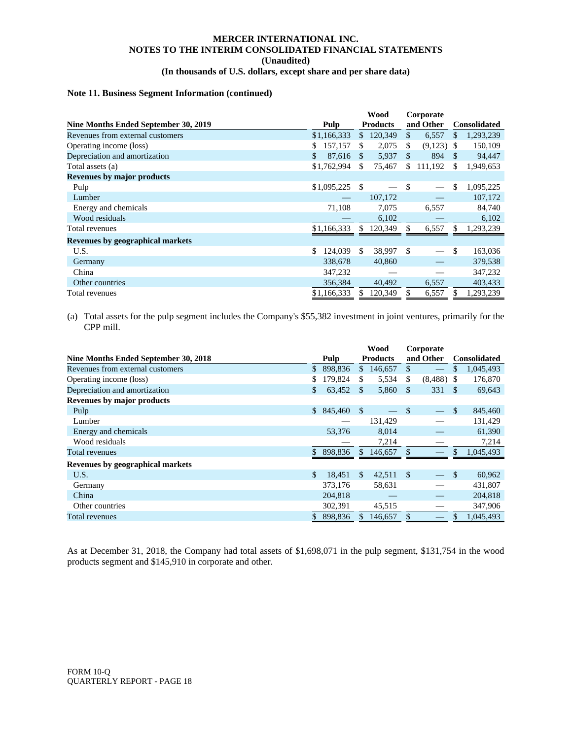## **Note 11. Business Segment Information (continued)**

|                                         |                   |               | Wood            |              | Corporate    |     |                     |  |
|-----------------------------------------|-------------------|---------------|-----------------|--------------|--------------|-----|---------------------|--|
| Nine Months Ended September 30, 2019    | Pulp              |               | <b>Products</b> |              | and Other    |     | <b>Consolidated</b> |  |
| Revenues from external customers        | \$1,166,333       | $\mathbb{S}$  | 120,349         | $\mathbb{S}$ | 6,557        | \$. | 1,293,239           |  |
| Operating income (loss)                 | 157,157<br>S      | \$.           | 2,075           | \$           | $(9,123)$ \$ |     | 150,109             |  |
| Depreciation and amortization           | \$<br>87,616      | <sup>\$</sup> | 5,937           | \$           | 894          | \$. | 94,447              |  |
| Total assets (a)                        | \$1,762,994       | \$            | 75,467          | \$           | 111,192      | \$  | 1,949,653           |  |
| <b>Revenues by major products</b>       |                   |               |                 |              |              |     |                     |  |
| Pulp                                    | $$1,095,225$ \ \$ |               |                 | \$           |              | \$  | 1,095,225           |  |
| Lumber                                  |                   |               | 107,172         |              |              |     | 107,172             |  |
| Energy and chemicals                    | 71,108            |               | 7.075           |              | 6,557        |     | 84,740              |  |
| Wood residuals                          |                   |               | 6,102           |              |              |     | 6,102               |  |
| Total revenues                          | \$1,166,333       | \$.           | 120,349         |              | 6,557        | \$  | 1,293,239           |  |
| <b>Revenues by geographical markets</b> |                   |               |                 |              |              |     |                     |  |
| U.S.                                    | \$.<br>124,039    | \$.           | 38,997          | \$           |              | \$  | 163,036             |  |
| Germany                                 | 338,678           |               | 40,860          |              |              |     | 379,538             |  |
| China                                   | 347,232           |               |                 |              |              |     | 347,232             |  |
| Other countries                         | 356,384           |               | 40,492          |              | 6,557        |     | 403,433             |  |
| Total revenues                          | \$1,166,333       | \$.           | 120,349         | \$           | 6,557        | \$  | 1,293,239           |  |

(a) Total assets for the pulp segment includes the Company's \$55,382 investment in joint ventures, primarily for the CPP mill.

|                                      |    |           | Wood          |                 |               | Corporate    |                     |           |
|--------------------------------------|----|-----------|---------------|-----------------|---------------|--------------|---------------------|-----------|
| Nine Months Ended September 30, 2018 |    | Pulp      |               | <b>Products</b> |               | and Other    | <b>Consolidated</b> |           |
| Revenues from external customers     | \$ | 898,836   |               | \$146,657       | \$.           |              | \$                  | 1,045,493 |
| Operating income (loss)              | \$ | 179.824   | \$.           | 5,534           | \$            | $(8,488)$ \$ |                     | 176,870   |
| Depreciation and amortization        | \$ | 63,452    | \$.           | 5,860           | <b>S</b>      | 331          | -S                  | 69,643    |
| <b>Revenues by major products</b>    |    |           |               |                 |               |              |                     |           |
| Pulp                                 |    | \$845,460 | $\mathcal{S}$ |                 | $\mathcal{S}$ |              | $\mathbb{S}$        | 845,460   |
| Lumber                               |    |           |               | 131,429         |               |              |                     | 131,429   |
| Energy and chemicals                 |    | 53,376    |               | 8,014           |               |              |                     | 61,390    |
| Wood residuals                       |    |           |               | 7,214           |               |              |                     | 7,214     |
| Total revenues                       | \$ | 898,836   | <sup>\$</sup> | 146,657         |               |              | \$                  | 1,045,493 |
| Revenues by geographical markets     |    |           |               |                 |               |              |                     |           |
| U.S.                                 | \$ | 18,451    | <sup>\$</sup> | 42,511          | $\mathcal{S}$ |              | $\mathbb{S}$        | 60,962    |
| Germany                              |    | 373,176   |               | 58,631          |               |              |                     | 431,807   |
| China                                |    | 204,818   |               |                 |               |              |                     | 204,818   |
| Other countries                      |    | 302,391   |               | 45,515          |               |              |                     | 347,906   |
| Total revenues                       | S  | 898,836   | S.            | 146,657         | <b>S</b>      |              |                     | 1,045,493 |

As at December 31, 2018, the Company had total assets of \$1,698,071 in the pulp segment, \$131,754 in the wood products segment and \$145,910 in corporate and other.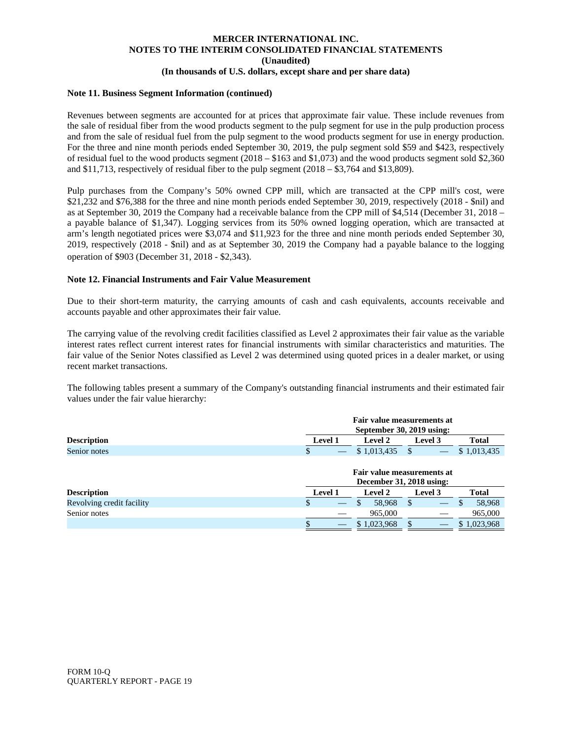#### **Note 11. Business Segment Information (continued)**

Revenues between segments are accounted for at prices that approximate fair value. These include revenues from the sale of residual fiber from the wood products segment to the pulp segment for use in the pulp production process and from the sale of residual fuel from the pulp segment to the wood products segment for use in energy production. For the three and nine month periods ended September 30, 2019, the pulp segment sold \$59 and \$423, respectively of residual fuel to the wood products segment  $(2018 - $163$  and  $$1,073)$  and the wood products segment sold \$2,360 and \$11,713, respectively of residual fiber to the pulp segment (2018 – \$3,764 and \$13,809).

Pulp purchases from the Company's 50% owned CPP mill, which are transacted at the CPP mill's cost, were \$21,232 and \$76,388 for the three and nine month periods ended September 30, 2019, respectively (2018 - \$nil) and as at September 30, 2019 the Company had a receivable balance from the CPP mill of \$4,514 (December 31, 2018 – a payable balance of \$1,347). Logging services from its 50% owned logging operation, which are transacted at arm's length negotiated prices were \$3,074 and \$11,923 for the three and nine month periods ended September 30, 2019, respectively (2018 - \$nil) and as at September 30, 2019 the Company had a payable balance to the logging operation of \$903 (December 31, 2018 - \$2,343).

#### **Note 12. Financial Instruments and Fair Value Measurement**

Due to their short-term maturity, the carrying amounts of cash and cash equivalents, accounts receivable and accounts payable and other approximates their fair value.

The carrying value of the revolving credit facilities classified as Level 2 approximates their fair value as the variable interest rates reflect current interest rates for financial instruments with similar characteristics and maturities. The fair value of the Senior Notes classified as Level 2 was determined using quoted prices in a dealer market, or using recent market transactions.

The following tables present a summary of the Company's outstanding financial instruments and their estimated fair values under the fair value hierarchy:

|                           | Fair value measurements at<br>September 30, 2019 using: |                                                        |               |             |  |  |  |  |
|---------------------------|---------------------------------------------------------|--------------------------------------------------------|---------------|-------------|--|--|--|--|
| <b>Description</b>        | Level 1                                                 | <b>Level 2</b><br>Total<br>Level 3                     |               |             |  |  |  |  |
| Senior notes              | S                                                       |                                                        |               | \$1,013,435 |  |  |  |  |
|                           |                                                         | Fair value measurements at<br>December 31, 2018 using: |               |             |  |  |  |  |
| <b>Description</b>        | <b>Level 1</b>                                          | <b>Level 2</b>                                         | Level 3       | Total       |  |  |  |  |
| Revolving credit facility | \$<br>$\overline{\phantom{m}}$                          | 58.968<br>S                                            | <sup>\$</sup> | 58,968<br>S |  |  |  |  |
| Senior notes              |                                                         | 965,000                                                |               | 965,000     |  |  |  |  |
|                           |                                                         | \$1,023,968                                            | S             | \$1,023,968 |  |  |  |  |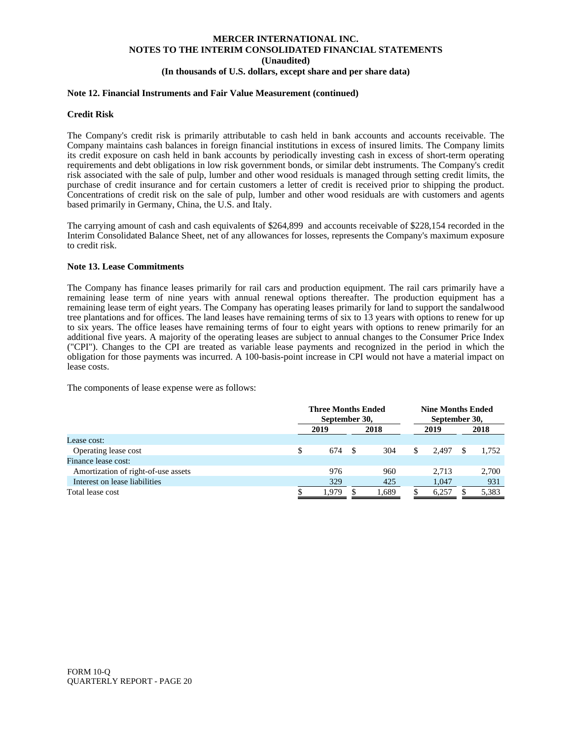#### **Note 12. Financial Instruments and Fair Value Measurement (continued)**

#### **Credit Risk**

The Company's credit risk is primarily attributable to cash held in bank accounts and accounts receivable. The Company maintains cash balances in foreign financial institutions in excess of insured limits. The Company limits its credit exposure on cash held in bank accounts by periodically investing cash in excess of short-term operating requirements and debt obligations in low risk government bonds, or similar debt instruments. The Company's credit risk associated with the sale of pulp, lumber and other wood residuals is managed through setting credit limits, the purchase of credit insurance and for certain customers a letter of credit is received prior to shipping the product. Concentrations of credit risk on the sale of pulp, lumber and other wood residuals are with customers and agents based primarily in Germany, China, the U.S. and Italy.

The carrying amount of cash and cash equivalents of \$264,899 and accounts receivable of \$228,154 recorded in the Interim Consolidated Balance Sheet, net of any allowances for losses, represents the Company's maximum exposure to credit risk.

#### **Note 13. Lease Commitments**

The Company has finance leases primarily for rail cars and production equipment. The rail cars primarily have a remaining lease term of nine years with annual renewal options thereafter. The production equipment has a remaining lease term of eight years. The Company has operating leases primarily for land to support the sandalwood tree plantations and for offices. The land leases have remaining terms of six to 13 years with options to renew for up to six years. The office leases have remaining terms of four to eight years with options to renew primarily for an additional five years. A majority of the operating leases are subject to annual changes to the Consumer Price Index ("CPI"). Changes to the CPI are treated as variable lease payments and recognized in the period in which the obligation for those payments was incurred. A 100-basis-point increase in CPI would not have a material impact on lease costs.

The components of lease expense were as follows:

|                                     |   | <b>Three Months Ended</b><br>September 30, |  |       |  | <b>Nine Months Ended</b><br>September 30, |  |       |
|-------------------------------------|---|--------------------------------------------|--|-------|--|-------------------------------------------|--|-------|
|                                     |   | 2019                                       |  | 2018  |  | 2019                                      |  | 2018  |
| Lease cost:                         |   |                                            |  |       |  |                                           |  |       |
| Operating lease cost                | S | 674                                        |  | 304   |  | 2.497                                     |  | 1.752 |
| Finance lease cost:                 |   |                                            |  |       |  |                                           |  |       |
| Amortization of right-of-use assets |   | 976                                        |  | 960   |  | 2.713                                     |  | 2,700 |
| Interest on lease liabilities       |   | 329                                        |  | 425   |  | 1.047                                     |  | 931   |
| Total lease cost                    |   | 1,979                                      |  | 1,689 |  | 6,257                                     |  | 5,383 |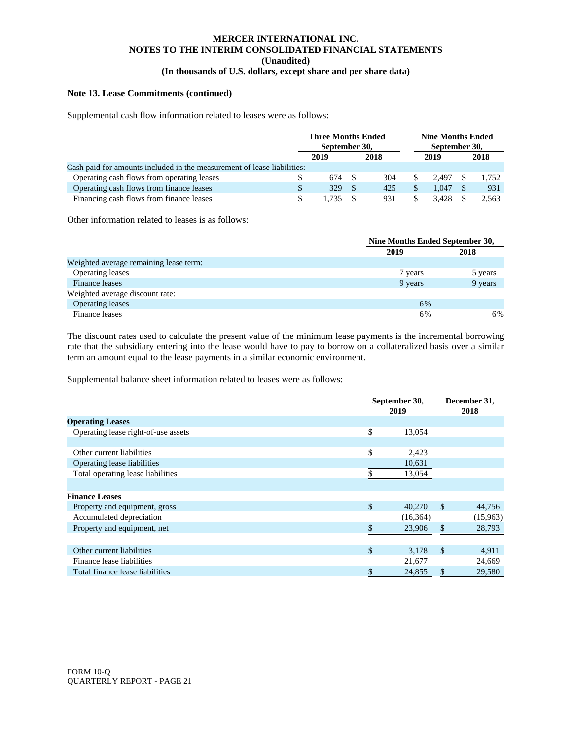#### **Note 13. Lease Commitments (continued)**

Supplemental cash flow information related to leases were as follows:

|                                                                         | <b>Three Months Ended</b><br>September 30, |       |  |      |       |       | <b>Nine Months Ended</b><br>September 30, |  |
|-------------------------------------------------------------------------|--------------------------------------------|-------|--|------|-------|-------|-------------------------------------------|--|
|                                                                         |                                            | 2019  |  | 2018 | 2019  | 2018  |                                           |  |
| Cash paid for amounts included in the measurement of lease liabilities: |                                            |       |  |      |       |       |                                           |  |
| Operating cash flows from operating leases                              |                                            | 674   |  | 304  | 2.497 | 1.752 |                                           |  |
| Operating cash flows from finance leases                                |                                            | 329   |  | 425  | 1.047 | 931   |                                           |  |
| Financing cash flows from finance leases                                |                                            | 1.735 |  | 931  | 3.428 | 2,563 |                                           |  |

Other information related to leases is as follows:

|                                        | Nine Months Ended September 30, |         |
|----------------------------------------|---------------------------------|---------|
|                                        | 2019                            | 2018    |
| Weighted average remaining lease term: |                                 |         |
| <b>Operating leases</b>                | 7 years                         | 5 years |
| Finance leases                         | 9 years                         | 9 years |
| Weighted average discount rate:        |                                 |         |
| <b>Operating leases</b>                | 6%                              |         |
| Finance leases                         | 6%                              | 6%      |

The discount rates used to calculate the present value of the minimum lease payments is the incremental borrowing rate that the subsidiary entering into the lease would have to pay to borrow on a collateralized basis over a similar term an amount equal to the lease payments in a similar economic environment.

Supplemental balance sheet information related to leases were as follows:

|                                     | September 30,<br>2019 |               | December 31,<br>2018 |
|-------------------------------------|-----------------------|---------------|----------------------|
| <b>Operating Leases</b>             |                       |               |                      |
| Operating lease right-of-use assets | \$<br>13,054          |               |                      |
|                                     |                       |               |                      |
| Other current liabilities           | \$<br>2,423           |               |                      |
| Operating lease liabilities         | 10,631                |               |                      |
| Total operating lease liabilities   | 13,054                |               |                      |
|                                     |                       |               |                      |
| <b>Finance Leases</b>               |                       |               |                      |
| Property and equipment, gross       | \$<br>40,270          | $\mathbb{S}$  | 44,756               |
| Accumulated depreciation            | (16, 364)             |               | (15,963)             |
| Property and equipment, net         | 23,906                | \$            | 28,793               |
|                                     |                       |               |                      |
| Other current liabilities           | \$<br>3,178           | $\mathcal{S}$ | 4,911                |
| Finance lease liabilities           | 21,677                |               | 24,669               |
| Total finance lease liabilities     | \$<br>24,855          | \$            | 29,580               |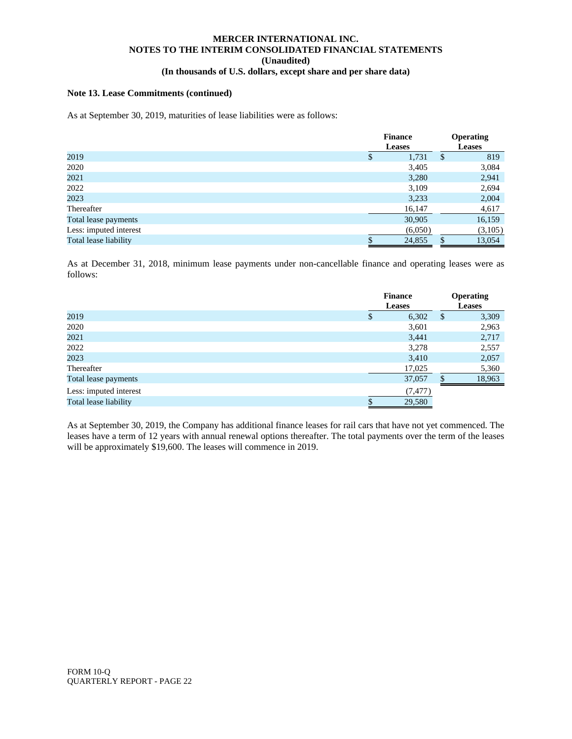## **Note 13. Lease Commitments (continued)**

As at September 30, 2019, maturities of lease liabilities were as follows:

|                        |   | <b>Finance</b> | <b>Operating</b> |
|------------------------|---|----------------|------------------|
|                        |   | <b>Leases</b>  | <b>Leases</b>    |
| 2019                   | S | 1,731          | \$<br>819        |
| 2020                   |   | 3,405          | 3,084            |
| 2021                   |   | 3,280          | 2,941            |
| 2022                   |   | 3,109          | 2,694            |
| 2023                   |   | 3,233          | 2,004            |
| Thereafter             |   | 16,147         | 4,617            |
| Total lease payments   |   | 30,905         | 16,159           |
| Less: imputed interest |   | (6,050)        | (3,105)          |
| Total lease liability  |   | 24,855         | 13,054           |

As at December 31, 2018, minimum lease payments under non-cancellable finance and operating leases were as follows:

|                        |     | <b>Finance</b> | <b>Operating</b> |
|------------------------|-----|----------------|------------------|
|                        |     | <b>Leases</b>  | <b>Leases</b>    |
| 2019                   | \$. | 6,302          | \$<br>3,309      |
| 2020                   |     | 3,601          | 2,963            |
| 2021                   |     | 3,441          | 2,717            |
| 2022                   |     | 3,278          | 2,557            |
| 2023                   |     | 3,410          | 2,057            |
| Thereafter             |     | 17,025         | 5,360            |
| Total lease payments   |     | 37,057         | 18,963           |
| Less: imputed interest |     | (7, 477)       |                  |
| Total lease liability  |     | 29,580         |                  |

As at September 30, 2019, the Company has additional finance leases for rail cars that have not yet commenced. The leases have a term of 12 years with annual renewal options thereafter. The total payments over the term of the leases will be approximately \$19,600. The leases will commence in 2019.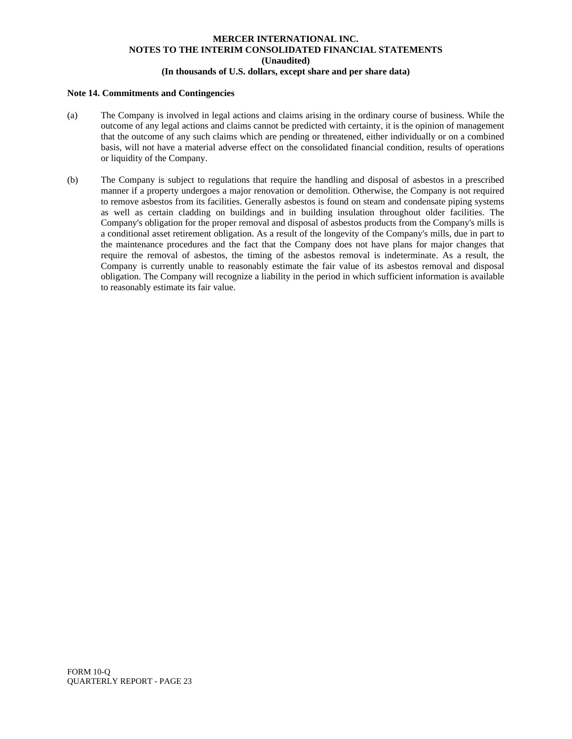#### **Note 14. Commitments and Contingencies**

- (a) The Company is involved in legal actions and claims arising in the ordinary course of business. While the outcome of any legal actions and claims cannot be predicted with certainty, it is the opinion of management that the outcome of any such claims which are pending or threatened, either individually or on a combined basis, will not have a material adverse effect on the consolidated financial condition, results of operations or liquidity of the Company.
- (b) The Company is subject to regulations that require the handling and disposal of asbestos in a prescribed manner if a property undergoes a major renovation or demolition. Otherwise, the Company is not required to remove asbestos from its facilities. Generally asbestos is found on steam and condensate piping systems as well as certain cladding on buildings and in building insulation throughout older facilities. The Company's obligation for the proper removal and disposal of asbestos products from the Company's mills is a conditional asset retirement obligation. As a result of the longevity of the Company's mills, due in part to the maintenance procedures and the fact that the Company does not have plans for major changes that require the removal of asbestos, the timing of the asbestos removal is indeterminate. As a result, the Company is currently unable to reasonably estimate the fair value of its asbestos removal and disposal obligation. The Company will recognize a liability in the period in which sufficient information is available to reasonably estimate its fair value.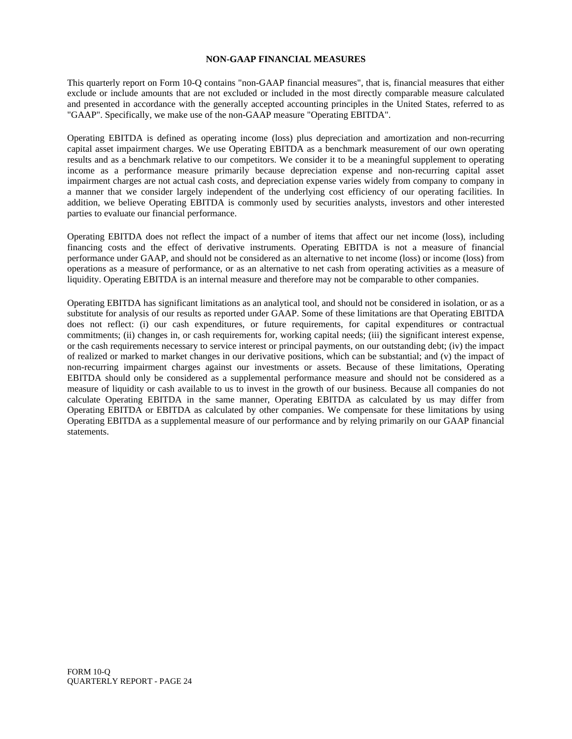## **NON-GAAP FINANCIAL MEASURES**

This quarterly report on Form 10-Q contains "non-GAAP financial measures", that is, financial measures that either exclude or include amounts that are not excluded or included in the most directly comparable measure calculated and presented in accordance with the generally accepted accounting principles in the United States, referred to as "GAAP". Specifically, we make use of the non-GAAP measure "Operating EBITDA".

Operating EBITDA is defined as operating income (loss) plus depreciation and amortization and non-recurring capital asset impairment charges. We use Operating EBITDA as a benchmark measurement of our own operating results and as a benchmark relative to our competitors. We consider it to be a meaningful supplement to operating income as a performance measure primarily because depreciation expense and non-recurring capital asset impairment charges are not actual cash costs, and depreciation expense varies widely from company to company in a manner that we consider largely independent of the underlying cost efficiency of our operating facilities. In addition, we believe Operating EBITDA is commonly used by securities analysts, investors and other interested parties to evaluate our financial performance.

Operating EBITDA does not reflect the impact of a number of items that affect our net income (loss), including financing costs and the effect of derivative instruments. Operating EBITDA is not a measure of financial performance under GAAP, and should not be considered as an alternative to net income (loss) or income (loss) from operations as a measure of performance, or as an alternative to net cash from operating activities as a measure of liquidity. Operating EBITDA is an internal measure and therefore may not be comparable to other companies.

Operating EBITDA has significant limitations as an analytical tool, and should not be considered in isolation, or as a substitute for analysis of our results as reported under GAAP. Some of these limitations are that Operating EBITDA does not reflect: (i) our cash expenditures, or future requirements, for capital expenditures or contractual commitments; (ii) changes in, or cash requirements for, working capital needs; (iii) the significant interest expense, or the cash requirements necessary to service interest or principal payments, on our outstanding debt; (iv) the impact of realized or marked to market changes in our derivative positions, which can be substantial; and (v) the impact of non-recurring impairment charges against our investments or assets. Because of these limitations, Operating EBITDA should only be considered as a supplemental performance measure and should not be considered as a measure of liquidity or cash available to us to invest in the growth of our business. Because all companies do not calculate Operating EBITDA in the same manner, Operating EBITDA as calculated by us may differ from Operating EBITDA or EBITDA as calculated by other companies. We compensate for these limitations by using Operating EBITDA as a supplemental measure of our performance and by relying primarily on our GAAP financial statements.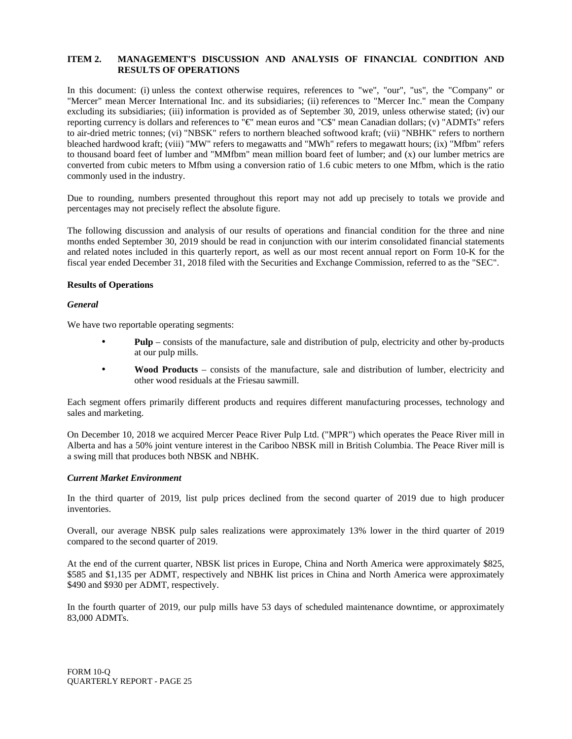## **ITEM 2. MANAGEMENT'S DISCUSSION AND ANALYSIS OF FINANCIAL CONDITION AND RESULTS OF OPERATIONS**

In this document: (i) unless the context otherwise requires, references to "we", "our", "us", the "Company" or "Mercer" mean Mercer International Inc. and its subsidiaries; (ii) references to "Mercer Inc." mean the Company excluding its subsidiaries; (iii) information is provided as of September 30, 2019, unless otherwise stated; (iv) our reporting currency is dollars and references to "€" mean euros and "C\$" mean Canadian dollars; (v) "ADMTs" refers to air-dried metric tonnes; (vi) "NBSK" refers to northern bleached softwood kraft; (vii) "NBHK" refers to northern bleached hardwood kraft; (viii) "MW" refers to megawatts and "MWh" refers to megawatt hours; (ix) "Mfbm" refers to thousand board feet of lumber and "MMfbm" mean million board feet of lumber; and (x) our lumber metrics are converted from cubic meters to Mfbm using a conversion ratio of 1.6 cubic meters to one Mfbm, which is the ratio commonly used in the industry.

Due to rounding, numbers presented throughout this report may not add up precisely to totals we provide and percentages may not precisely reflect the absolute figure.

The following discussion and analysis of our results of operations and financial condition for the three and nine months ended September 30, 2019 should be read in conjunction with our interim consolidated financial statements and related notes included in this quarterly report, as well as our most recent annual report on Form 10-K for the fiscal year ended December 31, 2018 filed with the Securities and Exchange Commission, referred to as the "SEC".

## **Results of Operations**

## *General*

We have two reportable operating segments:

- **Pulp** consists of the manufacture, sale and distribution of pulp, electricity and other by-products at our pulp mills.
- **Wood Products** consists of the manufacture, sale and distribution of lumber, electricity and other wood residuals at the Friesau sawmill.

Each segment offers primarily different products and requires different manufacturing processes, technology and sales and marketing.

On December 10, 2018 we acquired Mercer Peace River Pulp Ltd. ("MPR") which operates the Peace River mill in Alberta and has a 50% joint venture interest in the Cariboo NBSK mill in British Columbia. The Peace River mill is a swing mill that produces both NBSK and NBHK.

## *Current Market Environment*

In the third quarter of 2019, list pulp prices declined from the second quarter of 2019 due to high producer inventories.

Overall, our average NBSK pulp sales realizations were approximately 13% lower in the third quarter of 2019 compared to the second quarter of 2019.

At the end of the current quarter, NBSK list prices in Europe, China and North America were approximately \$825, \$585 and \$1,135 per ADMT, respectively and NBHK list prices in China and North America were approximately \$490 and \$930 per ADMT, respectively.

In the fourth quarter of 2019, our pulp mills have 53 days of scheduled maintenance downtime, or approximately 83,000 ADMTs.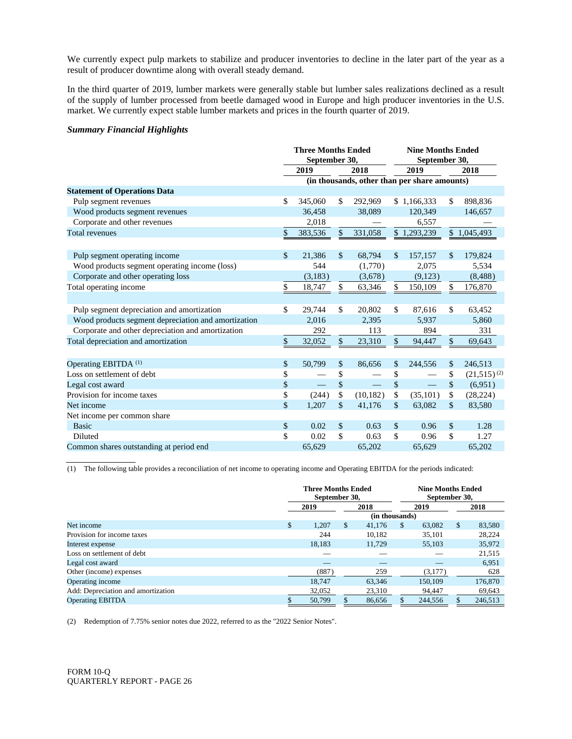We currently expect pulp markets to stabilize and producer inventories to decline in the later part of the year as a result of producer downtime along with overall steady demand.

In the third quarter of 2019, lumber markets were generally stable but lumber sales realizations declined as a result of the supply of lumber processed from beetle damaged wood in Europe and high producer inventories in the U.S. market. We currently expect stable lumber markets and prices in the fourth quarter of 2019.

## *Summary Financial Highlights*

|                                                     | <b>Three Months Ended</b><br>September 30, |              |           |      | <b>Nine Months Ended</b><br>September 30,    |               |                  |
|-----------------------------------------------------|--------------------------------------------|--------------|-----------|------|----------------------------------------------|---------------|------------------|
|                                                     | 2019<br>2018                               |              |           |      | 2019                                         |               | 2018             |
|                                                     |                                            |              |           |      | (in thousands, other than per share amounts) |               |                  |
| <b>Statement of Operations Data</b>                 |                                            |              |           |      |                                              |               |                  |
| Pulp segment revenues                               | \$<br>345,060                              | \$           | 292,969   |      | \$1,166,333                                  | \$            | 898,836          |
| Wood products segment revenues                      | 36.458                                     |              | 38,089    |      | 120,349                                      |               | 146,657          |
| Corporate and other revenues                        | 2,018                                      |              |           |      | 6,557                                        |               |                  |
| <b>Total revenues</b>                               | \$<br>383,536                              | $\mathbb{S}$ | 331,058   |      | \$1,293,239                                  |               | \$1,045,493      |
|                                                     |                                            |              |           |      |                                              |               |                  |
| Pulp segment operating income                       | \$<br>21,386                               | \$           | 68,794    | \$   | 157,157                                      | \$            | 179,824          |
| Wood products segment operating income (loss)       | 544                                        |              | (1,770)   |      | 2,075                                        |               | 5,534            |
| Corporate and other operating loss                  | (3,183)                                    |              | (3,678)   |      | (9,123)                                      |               | (8,488)          |
| Total operating income                              | \$<br>18,747                               | \$           | 63,346    | \$   | 150,109                                      | \$            | 176,870          |
|                                                     |                                            |              |           |      |                                              |               |                  |
| Pulp segment depreciation and amortization          | \$<br>29,744                               | \$           | 20,802    | \$   | 87,616                                       | \$            | 63,452           |
| Wood products segment depreciation and amortization | 2.016                                      |              | 2,395     |      | 5,937                                        |               | 5,860            |
| Corporate and other depreciation and amortization   | 292                                        |              | 113       |      | 894                                          |               | 331              |
| Total depreciation and amortization                 | \$<br>32,052                               | \$           | 23,310    | \$   | 94,447                                       | \$            | 69,643           |
|                                                     |                                            |              |           |      |                                              |               |                  |
| Operating EBITDA <sup>(1)</sup>                     | \$<br>50,799                               | \$           | 86,656    | \$   | 244,556                                      | \$            | 246,513          |
| Loss on settlement of debt                          | \$                                         | \$           |           | \$   |                                              | \$            | $(21,515)^{(2)}$ |
| Legal cost award                                    | \$                                         | \$           |           | $\$$ | $\overline{\phantom{m}}$                     | $\mathsf{\$}$ | (6,951)          |
| Provision for income taxes                          | \$<br>(244)                                | \$           | (10, 182) | \$   | (35, 101)                                    | \$            | (28, 224)        |
| Net income                                          | \$<br>1,207                                | \$           | 41,176    | \$   | 63,082                                       | \$            | 83,580           |
| Net income per common share                         |                                            |              |           |      |                                              |               |                  |
| <b>Basic</b>                                        | \$<br>0.02                                 | \$           | 0.63      | \$   | 0.96                                         | \$            | 1.28             |
| <b>Diluted</b>                                      | \$<br>0.02                                 | \$           | 0.63      | \$   | 0.96                                         | \$            | 1.27             |
| Common shares outstanding at period end             | 65,629                                     |              | 65,202    |      | 65,629                                       |               | 65,202           |

(1) The following table provides a reconciliation of net income to operating income and Operating EBITDA for the periods indicated:

|                                    | <b>Three Months Ended</b><br>September 30. |        |               |                | September 30. | <b>Nine Months Ended</b> |    |         |
|------------------------------------|--------------------------------------------|--------|---------------|----------------|---------------|--------------------------|----|---------|
|                                    |                                            | 2019   |               | 2018           |               | 2019                     |    | 2018    |
|                                    |                                            |        |               | (in thousands) |               |                          |    |         |
| Net income                         | \$                                         | 1,207  | <sup>\$</sup> | 41,176         | \$.           | 63,082                   | \$ | 83,580  |
| Provision for income taxes         |                                            | 244    |               | 10.182         |               | 35.101                   |    | 28,224  |
| Interest expense                   |                                            | 18.183 |               | 11,729         |               | 55,103                   |    | 35,972  |
| Loss on settlement of debt         |                                            |        |               |                |               |                          |    | 21,515  |
| Legal cost award                   |                                            |        |               |                |               |                          |    | 6,951   |
| Other (income) expenses            |                                            | (887)  |               | 259            |               | (3,177)                  |    | 628     |
| Operating income                   |                                            | 18.747 |               | 63.346         |               | 150,109                  |    | 176,870 |
| Add: Depreciation and amortization |                                            | 32,052 |               | 23,310         |               | 94.447                   |    | 69,643  |
| <b>Operating EBITDA</b>            |                                            | 50,799 |               | 86,656         |               | 244,556                  |    | 246,513 |

(2) Redemption of 7.75% senior notes due 2022, referred to as the "2022 Senior Notes".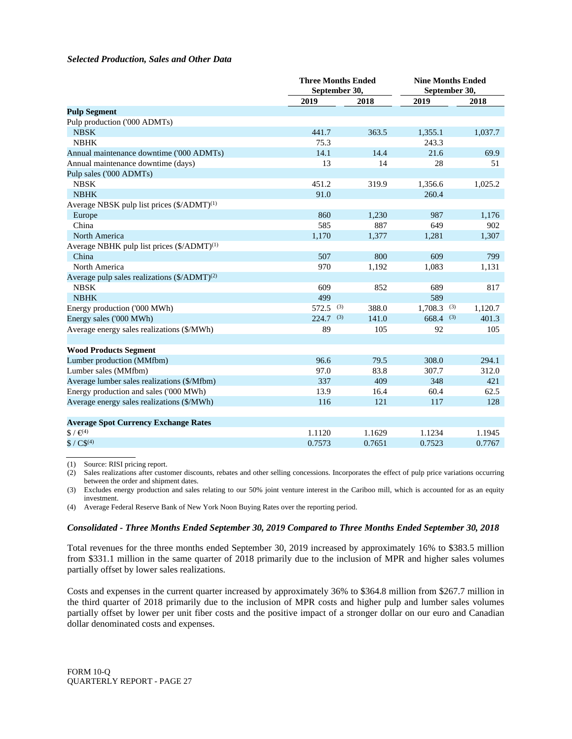#### *Selected Production, Sales and Other Data*

|                                                          | <b>Three Months Ended</b><br>September 30, |        | <b>Nine Months Ended</b><br>September 30, |         |
|----------------------------------------------------------|--------------------------------------------|--------|-------------------------------------------|---------|
|                                                          | 2019                                       | 2018   | 2019                                      | 2018    |
| <b>Pulp Segment</b>                                      |                                            |        |                                           |         |
| Pulp production ('000 ADMTs)                             |                                            |        |                                           |         |
| <b>NBSK</b>                                              | 441.7                                      | 363.5  | 1,355.1                                   | 1,037.7 |
| <b>NBHK</b>                                              | 75.3                                       |        | 243.3                                     |         |
| Annual maintenance downtime ('000 ADMTs)                 | 14.1                                       | 14.4   | 21.6                                      | 69.9    |
| Annual maintenance downtime (days)                       | 13                                         | 14     | 28                                        | 51      |
| Pulp sales ('000 ADMTs)                                  |                                            |        |                                           |         |
| <b>NBSK</b>                                              | 451.2                                      | 319.9  | 1,356.6                                   | 1,025.2 |
| <b>NBHK</b>                                              | 91.0                                       |        | 260.4                                     |         |
| Average NBSK pulp list prices (\$/ADMT) <sup>(1)</sup>   |                                            |        |                                           |         |
| Europe                                                   | 860                                        | 1,230  | 987                                       | 1,176   |
| China                                                    | 585                                        | 887    | 649                                       | 902     |
| North America                                            | 1,170                                      | 1,377  | 1,281                                     | 1,307   |
| Average NBHK pulp list prices $(\frac{5}{ADMT})^{(1)}$   |                                            |        |                                           |         |
| China                                                    | 507                                        | 800    | 609                                       | 799     |
| North America                                            | 970                                        | 1,192  | 1,083                                     | 1,131   |
| Average pulp sales realizations $(\frac{5}{ADMT})^{(2)}$ |                                            |        |                                           |         |
| <b>NBSK</b>                                              | 609                                        | 852    | 689                                       | 817     |
| <b>NBHK</b>                                              | 499                                        |        | 589                                       |         |
| Energy production ('000 MWh)                             | $572.5$ (3)                                | 388.0  | $1,708.3$ (3)                             | 1,120.7 |
| Energy sales ('000 MWh)                                  | $224.7$ <sup>(3)</sup>                     | 141.0  | $668.4$ (3)                               | 401.3   |
| Average energy sales realizations (\$/MWh)               | 89                                         | 105    | 92                                        | 105     |
|                                                          |                                            |        |                                           |         |
| <b>Wood Products Segment</b>                             |                                            |        |                                           |         |
| Lumber production (MMfbm)                                | 96.6                                       | 79.5   | 308.0                                     | 294.1   |
| Lumber sales (MMfbm)                                     | 97.0                                       | 83.8   | 307.7                                     | 312.0   |
| Average lumber sales realizations (\$/Mfbm)              | 337                                        | 409    | 348                                       | 421     |
| Energy production and sales ('000 MWh)                   | 13.9                                       | 16.4   | 60.4                                      | 62.5    |
| Average energy sales realizations (\$/MWh)               | 116                                        | 121    | 117                                       | 128     |
|                                                          |                                            |        |                                           |         |
| <b>Average Spot Currency Exchange Rates</b>              |                                            |        |                                           |         |
| $$/ \infty$ <sup>49</sup>                                | 1.1120                                     | 1.1629 | 1.1234                                    | 1.1945  |
| $$ / C\$ (4)                                             | 0.7573                                     | 0.7651 | 0.7523                                    | 0.7767  |

(1) Source: RISI pricing report.

(2) Sales realizations after customer discounts, rebates and other selling concessions. Incorporates the effect of pulp price variations occurring between the order and shipment dates.

(3) Excludes energy production and sales relating to our 50% joint venture interest in the Cariboo mill, which is accounted for as an equity investment.

(4) Average Federal Reserve Bank of New York Noon Buying Rates over the reporting period.

#### *Consolidated - Three Months Ended September 30, 2019 Compared to Three Months Ended September 30, 2018*

Total revenues for the three months ended September 30, 2019 increased by approximately 16% to \$383.5 million from \$331.1 million in the same quarter of 2018 primarily due to the inclusion of MPR and higher sales volumes partially offset by lower sales realizations.

Costs and expenses in the current quarter increased by approximately 36% to \$364.8 million from \$267.7 million in the third quarter of 2018 primarily due to the inclusion of MPR costs and higher pulp and lumber sales volumes partially offset by lower per unit fiber costs and the positive impact of a stronger dollar on our euro and Canadian dollar denominated costs and expenses.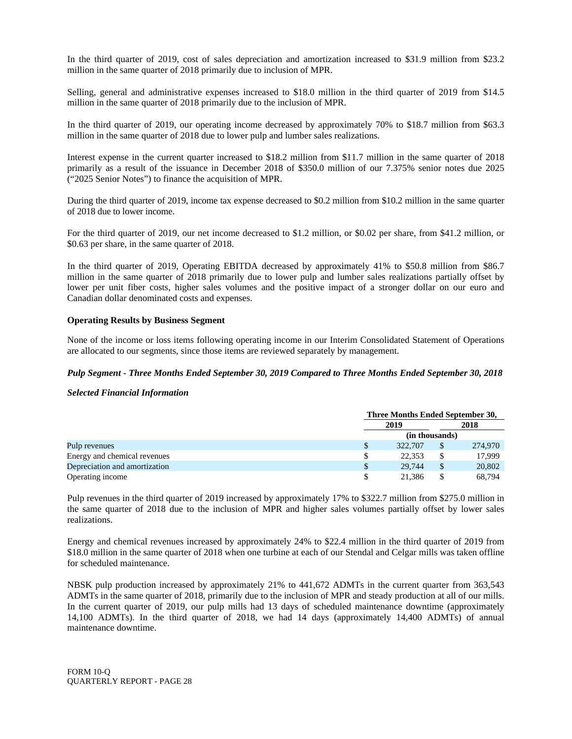In the third quarter of 2019, cost of sales depreciation and amortization increased to \$31.9 million from \$23.2 million in the same quarter of 2018 primarily due to inclusion of MPR.

Selling, general and administrative expenses increased to \$18.0 million in the third quarter of 2019 from \$14.5 million in the same quarter of 2018 primarily due to the inclusion of MPR.

In the third quarter of 2019, our operating income decreased by approximately 70% to \$18.7 million from \$63.3 million in the same quarter of 2018 due to lower pulp and lumber sales realizations.

Interest expense in the current quarter increased to \$18.2 million from \$11.7 million in the same quarter of 2018 primarily as a result of the issuance in December 2018 of \$350.0 million of our 7.375% senior notes due 2025 ("2025 Senior Notes") to finance the acquisition of MPR.

During the third quarter of 2019, income tax expense decreased to \$0.2 million from \$10.2 million in the same quarter of 2018 due to lower income.

For the third quarter of 2019, our net income decreased to \$1.2 million, or \$0.02 per share, from \$41.2 million, or \$0.63 per share, in the same quarter of 2018.

In the third quarter of 2019, Operating EBITDA decreased by approximately 41% to \$50.8 million from \$86.7 million in the same quarter of 2018 primarily due to lower pulp and lumber sales realizations partially offset by lower per unit fiber costs, higher sales volumes and the positive impact of a stronger dollar on our euro and Canadian dollar denominated costs and expenses.

## **Operating Results by Business Segment**

None of the income or loss items following operating income in our Interim Consolidated Statement of Operations are allocated to our segments, since those items are reviewed separately by management.

## *Pulp Segment - Three Months Ended September 30, 2019 Compared to Three Months Ended September 30, 2018*

*Selected Financial Information*

|                               | Three Months Ended September 30, |   |         |  |  |  |
|-------------------------------|----------------------------------|---|---------|--|--|--|
|                               | 2019                             |   | 2018    |  |  |  |
|                               | (in thousands)                   |   |         |  |  |  |
| Pulp revenues                 | 322,707                          |   | 274,970 |  |  |  |
| Energy and chemical revenues  | 22.353                           | S | 17.999  |  |  |  |
| Depreciation and amortization | 29,744                           |   | 20,802  |  |  |  |
| Operating income              | 21,386                           |   | 68,794  |  |  |  |

Pulp revenues in the third quarter of 2019 increased by approximately 17% to \$322.7 million from \$275.0 million in the same quarter of 2018 due to the inclusion of MPR and higher sales volumes partially offset by lower sales realizations.

Energy and chemical revenues increased by approximately 24% to \$22.4 million in the third quarter of 2019 from \$18.0 million in the same quarter of 2018 when one turbine at each of our Stendal and Celgar mills was taken offline for scheduled maintenance.

NBSK pulp production increased by approximately 21% to 441,672 ADMTs in the current quarter from 363,543 ADMTs in the same quarter of 2018, primarily due to the inclusion of MPR and steady production at all of our mills. In the current quarter of 2019, our pulp mills had 13 days of scheduled maintenance downtime (approximately 14,100 ADMTs). In the third quarter of 2018, we had 14 days (approximately 14,400 ADMTs) of annual maintenance downtime.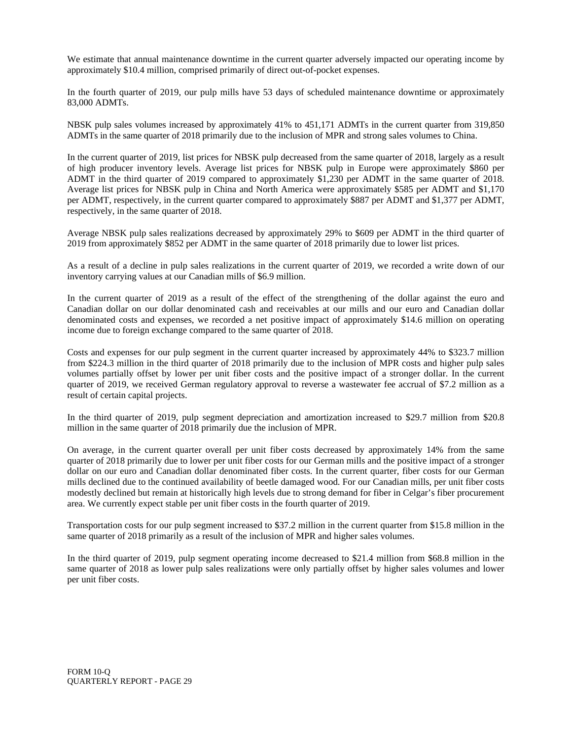We estimate that annual maintenance downtime in the current quarter adversely impacted our operating income by approximately \$10.4 million, comprised primarily of direct out-of-pocket expenses.

In the fourth quarter of 2019, our pulp mills have 53 days of scheduled maintenance downtime or approximately 83,000 ADMTs.

NBSK pulp sales volumes increased by approximately 41% to 451,171 ADMTs in the current quarter from 319,850 ADMTs in the same quarter of 2018 primarily due to the inclusion of MPR and strong sales volumes to China.

In the current quarter of 2019, list prices for NBSK pulp decreased from the same quarter of 2018, largely as a result of high producer inventory levels. Average list prices for NBSK pulp in Europe were approximately \$860 per ADMT in the third quarter of 2019 compared to approximately \$1,230 per ADMT in the same quarter of 2018. Average list prices for NBSK pulp in China and North America were approximately \$585 per ADMT and \$1,170 per ADMT, respectively, in the current quarter compared to approximately \$887 per ADMT and \$1,377 per ADMT, respectively, in the same quarter of 2018.

Average NBSK pulp sales realizations decreased by approximately 29% to \$609 per ADMT in the third quarter of 2019 from approximately \$852 per ADMT in the same quarter of 2018 primarily due to lower list prices.

As a result of a decline in pulp sales realizations in the current quarter of 2019, we recorded a write down of our inventory carrying values at our Canadian mills of \$6.9 million.

In the current quarter of 2019 as a result of the effect of the strengthening of the dollar against the euro and Canadian dollar on our dollar denominated cash and receivables at our mills and our euro and Canadian dollar denominated costs and expenses, we recorded a net positive impact of approximately \$14.6 million on operating income due to foreign exchange compared to the same quarter of 2018.

Costs and expenses for our pulp segment in the current quarter increased by approximately 44% to \$323.7 million from \$224.3 million in the third quarter of 2018 primarily due to the inclusion of MPR costs and higher pulp sales volumes partially offset by lower per unit fiber costs and the positive impact of a stronger dollar. In the current quarter of 2019, we received German regulatory approval to reverse a wastewater fee accrual of \$7.2 million as a result of certain capital projects.

In the third quarter of 2019, pulp segment depreciation and amortization increased to \$29.7 million from \$20.8 million in the same quarter of 2018 primarily due the inclusion of MPR.

On average, in the current quarter overall per unit fiber costs decreased by approximately 14% from the same quarter of 2018 primarily due to lower per unit fiber costs for our German mills and the positive impact of a stronger dollar on our euro and Canadian dollar denominated fiber costs. In the current quarter, fiber costs for our German mills declined due to the continued availability of beetle damaged wood. For our Canadian mills, per unit fiber costs modestly declined but remain at historically high levels due to strong demand for fiber in Celgar's fiber procurement area. We currently expect stable per unit fiber costs in the fourth quarter of 2019.

Transportation costs for our pulp segment increased to \$37.2 million in the current quarter from \$15.8 million in the same quarter of 2018 primarily as a result of the inclusion of MPR and higher sales volumes.

In the third quarter of 2019, pulp segment operating income decreased to \$21.4 million from \$68.8 million in the same quarter of 2018 as lower pulp sales realizations were only partially offset by higher sales volumes and lower per unit fiber costs.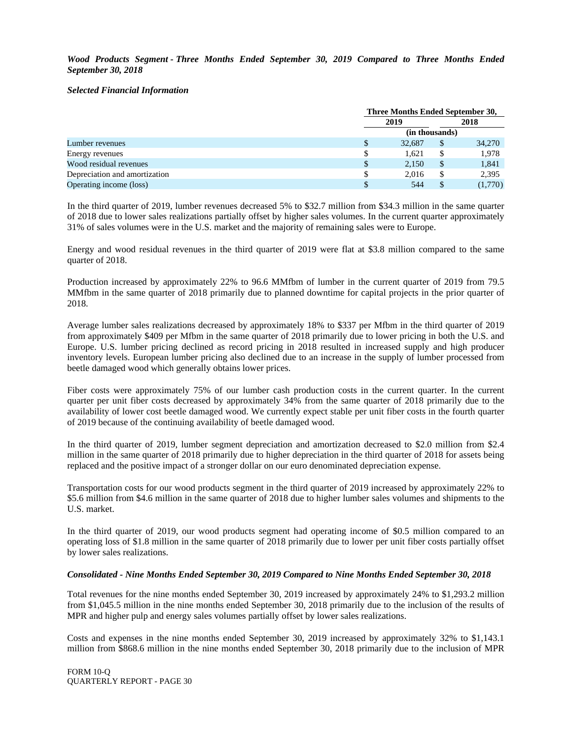*Wood Products Segment - Three Months Ended September 30, 2019 Compared to Three Months Ended September 30, 2018*

#### *Selected Financial Information*

|                               | Three Months Ended September 30, |               |         |  |  |  |  |
|-------------------------------|----------------------------------|---------------|---------|--|--|--|--|
|                               | 2019                             |               | 2018    |  |  |  |  |
|                               | (in thousands)                   |               |         |  |  |  |  |
| Lumber revenues               | 32.687                           | $\mathcal{S}$ | 34,270  |  |  |  |  |
| Energy revenues               | 1.621                            | S             | 1,978   |  |  |  |  |
| Wood residual revenues        | 2,150                            | \$            | 1,841   |  |  |  |  |
| Depreciation and amortization | 2.016                            | \$            | 2,395   |  |  |  |  |
| Operating income (loss)       | 544                              |               | (1,770) |  |  |  |  |

In the third quarter of 2019, lumber revenues decreased 5% to \$32.7 million from \$34.3 million in the same quarter of 2018 due to lower sales realizations partially offset by higher sales volumes. In the current quarter approximately 31% of sales volumes were in the U.S. market and the majority of remaining sales were to Europe.

Energy and wood residual revenues in the third quarter of 2019 were flat at \$3.8 million compared to the same quarter of 2018.

Production increased by approximately 22% to 96.6 MMfbm of lumber in the current quarter of 2019 from 79.5 MMfbm in the same quarter of 2018 primarily due to planned downtime for capital projects in the prior quarter of 2018.

Average lumber sales realizations decreased by approximately 18% to \$337 per Mfbm in the third quarter of 2019 from approximately \$409 per Mfbm in the same quarter of 2018 primarily due to lower pricing in both the U.S. and Europe. U.S. lumber pricing declined as record pricing in 2018 resulted in increased supply and high producer inventory levels. European lumber pricing also declined due to an increase in the supply of lumber processed from beetle damaged wood which generally obtains lower prices.

Fiber costs were approximately 75% of our lumber cash production costs in the current quarter. In the current quarter per unit fiber costs decreased by approximately 34% from the same quarter of 2018 primarily due to the availability of lower cost beetle damaged wood. We currently expect stable per unit fiber costs in the fourth quarter of 2019 because of the continuing availability of beetle damaged wood.

In the third quarter of 2019, lumber segment depreciation and amortization decreased to \$2.0 million from \$2.4 million in the same quarter of 2018 primarily due to higher depreciation in the third quarter of 2018 for assets being replaced and the positive impact of a stronger dollar on our euro denominated depreciation expense.

Transportation costs for our wood products segment in the third quarter of 2019 increased by approximately 22% to \$5.6 million from \$4.6 million in the same quarter of 2018 due to higher lumber sales volumes and shipments to the U.S. market.

In the third quarter of 2019, our wood products segment had operating income of \$0.5 million compared to an operating loss of \$1.8 million in the same quarter of 2018 primarily due to lower per unit fiber costs partially offset by lower sales realizations.

## *Consolidated - Nine Months Ended September 30, 2019 Compared to Nine Months Ended September 30, 2018*

Total revenues for the nine months ended September 30, 2019 increased by approximately 24% to \$1,293.2 million from \$1,045.5 million in the nine months ended September 30, 2018 primarily due to the inclusion of the results of MPR and higher pulp and energy sales volumes partially offset by lower sales realizations.

Costs and expenses in the nine months ended September 30, 2019 increased by approximately 32% to \$1,143.1 million from \$868.6 million in the nine months ended September 30, 2018 primarily due to the inclusion of MPR

FORM 10-Q QUARTERLY REPORT - PAGE 30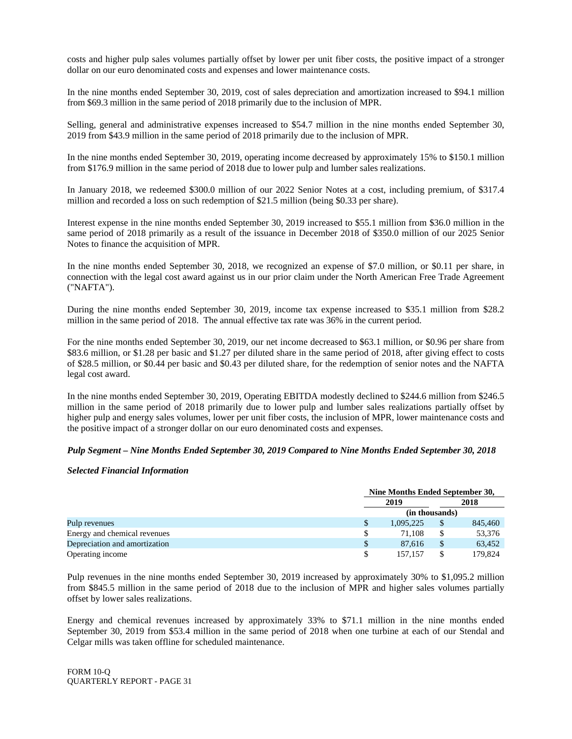costs and higher pulp sales volumes partially offset by lower per unit fiber costs, the positive impact of a stronger dollar on our euro denominated costs and expenses and lower maintenance costs.

In the nine months ended September 30, 2019, cost of sales depreciation and amortization increased to \$94.1 million from \$69.3 million in the same period of 2018 primarily due to the inclusion of MPR.

Selling, general and administrative expenses increased to \$54.7 million in the nine months ended September 30, 2019 from \$43.9 million in the same period of 2018 primarily due to the inclusion of MPR.

In the nine months ended September 30, 2019, operating income decreased by approximately 15% to \$150.1 million from \$176.9 million in the same period of 2018 due to lower pulp and lumber sales realizations.

In January 2018, we redeemed \$300.0 million of our 2022 Senior Notes at a cost, including premium, of \$317.4 million and recorded a loss on such redemption of \$21.5 million (being \$0.33 per share).

Interest expense in the nine months ended September 30, 2019 increased to \$55.1 million from \$36.0 million in the same period of 2018 primarily as a result of the issuance in December 2018 of \$350.0 million of our 2025 Senior Notes to finance the acquisition of MPR.

In the nine months ended September 30, 2018, we recognized an expense of \$7.0 million, or \$0.11 per share, in connection with the legal cost award against us in our prior claim under the North American Free Trade Agreement ("NAFTA").

During the nine months ended September 30, 2019, income tax expense increased to \$35.1 million from \$28.2 million in the same period of 2018. The annual effective tax rate was 36% in the current period.

For the nine months ended September 30, 2019, our net income decreased to \$63.1 million, or \$0.96 per share from \$83.6 million, or \$1.28 per basic and \$1.27 per diluted share in the same period of 2018, after giving effect to costs of \$28.5 million, or \$0.44 per basic and \$0.43 per diluted share, for the redemption of senior notes and the NAFTA legal cost award.

In the nine months ended September 30, 2019, Operating EBITDA modestly declined to \$244.6 million from \$246.5 million in the same period of 2018 primarily due to lower pulp and lumber sales realizations partially offset by higher pulp and energy sales volumes, lower per unit fiber costs, the inclusion of MPR, lower maintenance costs and the positive impact of a stronger dollar on our euro denominated costs and expenses.

## *Pulp Segment – Nine Months Ended September 30, 2019 Compared to Nine Months Ended September 30, 2018*

#### *Selected Financial Information*

|                               | Nine Months Ended September 30, |    |         |
|-------------------------------|---------------------------------|----|---------|
|                               | 2019                            |    | 2018    |
|                               | (in thousands)                  |    |         |
| Pulp revenues                 | 1,095,225                       |    | 845,460 |
| Energy and chemical revenues  | 71.108                          | \$ | 53,376  |
| Depreciation and amortization | 87.616                          | \$ | 63.452  |
| Operating income              | 157.157                         |    | 179,824 |

Pulp revenues in the nine months ended September 30, 2019 increased by approximately 30% to \$1,095.2 million from \$845.5 million in the same period of 2018 due to the inclusion of MPR and higher sales volumes partially offset by lower sales realizations.

Energy and chemical revenues increased by approximately 33% to \$71.1 million in the nine months ended September 30, 2019 from \$53.4 million in the same period of 2018 when one turbine at each of our Stendal and Celgar mills was taken offline for scheduled maintenance.

FORM 10-Q QUARTERLY REPORT - PAGE 31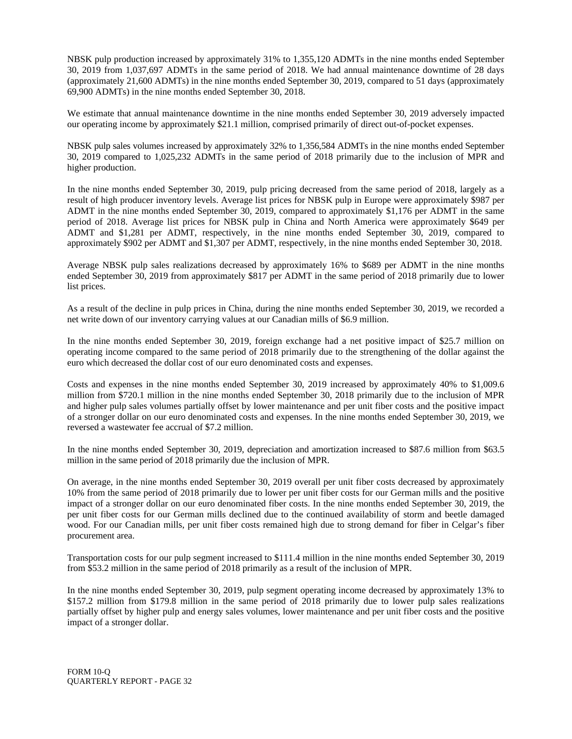NBSK pulp production increased by approximately 31% to 1,355,120 ADMTs in the nine months ended September 30, 2019 from 1,037,697 ADMTs in the same period of 2018. We had annual maintenance downtime of 28 days (approximately 21,600 ADMTs) in the nine months ended September 30, 2019, compared to 51 days (approximately 69,900 ADMTs) in the nine months ended September 30, 2018.

We estimate that annual maintenance downtime in the nine months ended September 30, 2019 adversely impacted our operating income by approximately \$21.1 million, comprised primarily of direct out-of-pocket expenses.

NBSK pulp sales volumes increased by approximately 32% to 1,356,584 ADMTs in the nine months ended September 30, 2019 compared to 1,025,232 ADMTs in the same period of 2018 primarily due to the inclusion of MPR and higher production.

In the nine months ended September 30, 2019, pulp pricing decreased from the same period of 2018, largely as a result of high producer inventory levels. Average list prices for NBSK pulp in Europe were approximately \$987 per ADMT in the nine months ended September 30, 2019, compared to approximately \$1,176 per ADMT in the same period of 2018. Average list prices for NBSK pulp in China and North America were approximately \$649 per ADMT and \$1,281 per ADMT, respectively, in the nine months ended September 30, 2019, compared to approximately \$902 per ADMT and \$1,307 per ADMT, respectively, in the nine months ended September 30, 2018.

Average NBSK pulp sales realizations decreased by approximately 16% to \$689 per ADMT in the nine months ended September 30, 2019 from approximately \$817 per ADMT in the same period of 2018 primarily due to lower list prices.

As a result of the decline in pulp prices in China, during the nine months ended September 30, 2019, we recorded a net write down of our inventory carrying values at our Canadian mills of \$6.9 million.

In the nine months ended September 30, 2019, foreign exchange had a net positive impact of \$25.7 million on operating income compared to the same period of 2018 primarily due to the strengthening of the dollar against the euro which decreased the dollar cost of our euro denominated costs and expenses.

Costs and expenses in the nine months ended September 30, 2019 increased by approximately 40% to \$1,009.6 million from \$720.1 million in the nine months ended September 30, 2018 primarily due to the inclusion of MPR and higher pulp sales volumes partially offset by lower maintenance and per unit fiber costs and the positive impact of a stronger dollar on our euro denominated costs and expenses. In the nine months ended September 30, 2019, we reversed a wastewater fee accrual of \$7.2 million.

In the nine months ended September 30, 2019, depreciation and amortization increased to \$87.6 million from \$63.5 million in the same period of 2018 primarily due the inclusion of MPR.

On average, in the nine months ended September 30, 2019 overall per unit fiber costs decreased by approximately 10% from the same period of 2018 primarily due to lower per unit fiber costs for our German mills and the positive impact of a stronger dollar on our euro denominated fiber costs. In the nine months ended September 30, 2019, the per unit fiber costs for our German mills declined due to the continued availability of storm and beetle damaged wood. For our Canadian mills, per unit fiber costs remained high due to strong demand for fiber in Celgar's fiber procurement area.

Transportation costs for our pulp segment increased to \$111.4 million in the nine months ended September 30, 2019 from \$53.2 million in the same period of 2018 primarily as a result of the inclusion of MPR.

In the nine months ended September 30, 2019, pulp segment operating income decreased by approximately 13% to \$157.2 million from \$179.8 million in the same period of 2018 primarily due to lower pulp sales realizations partially offset by higher pulp and energy sales volumes, lower maintenance and per unit fiber costs and the positive impact of a stronger dollar.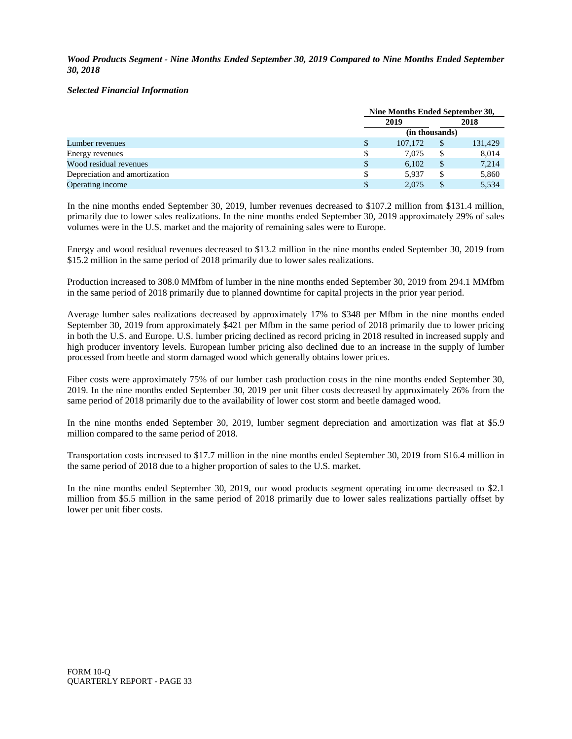*Wood Products Segment - Nine Months Ended September 30, 2019 Compared to Nine Months Ended September 30, 2018*

## *Selected Financial Information*

|                               |   | Nine Months Ended September 30, |                |         |  |
|-------------------------------|---|---------------------------------|----------------|---------|--|
|                               |   | 2019                            |                | 2018    |  |
|                               |   |                                 | (in thousands) |         |  |
| Lumber revenues               |   | 107,172                         | $\mathcal{S}$  | 131,429 |  |
| Energy revenues               |   | 7.075                           | \$             | 8,014   |  |
| Wood residual revenues        | S | 6.102                           | \$             | 7,214   |  |
| Depreciation and amortization |   | 5.937                           | \$             | 5,860   |  |
| Operating income              |   | 2.075                           |                | 5,534   |  |

In the nine months ended September 30, 2019, lumber revenues decreased to \$107.2 million from \$131.4 million, primarily due to lower sales realizations. In the nine months ended September 30, 2019 approximately 29% of sales volumes were in the U.S. market and the majority of remaining sales were to Europe.

Energy and wood residual revenues decreased to \$13.2 million in the nine months ended September 30, 2019 from \$15.2 million in the same period of 2018 primarily due to lower sales realizations.

Production increased to 308.0 MMfbm of lumber in the nine months ended September 30, 2019 from 294.1 MMfbm in the same period of 2018 primarily due to planned downtime for capital projects in the prior year period.

Average lumber sales realizations decreased by approximately 17% to \$348 per Mfbm in the nine months ended September 30, 2019 from approximately \$421 per Mfbm in the same period of 2018 primarily due to lower pricing in both the U.S. and Europe. U.S. lumber pricing declined as record pricing in 2018 resulted in increased supply and high producer inventory levels. European lumber pricing also declined due to an increase in the supply of lumber processed from beetle and storm damaged wood which generally obtains lower prices.

Fiber costs were approximately 75% of our lumber cash production costs in the nine months ended September 30, 2019. In the nine months ended September 30, 2019 per unit fiber costs decreased by approximately 26% from the same period of 2018 primarily due to the availability of lower cost storm and beetle damaged wood.

In the nine months ended September 30, 2019, lumber segment depreciation and amortization was flat at \$5.9 million compared to the same period of 2018.

Transportation costs increased to \$17.7 million in the nine months ended September 30, 2019 from \$16.4 million in the same period of 2018 due to a higher proportion of sales to the U.S. market.

In the nine months ended September 30, 2019, our wood products segment operating income decreased to \$2.1 million from \$5.5 million in the same period of 2018 primarily due to lower sales realizations partially offset by lower per unit fiber costs.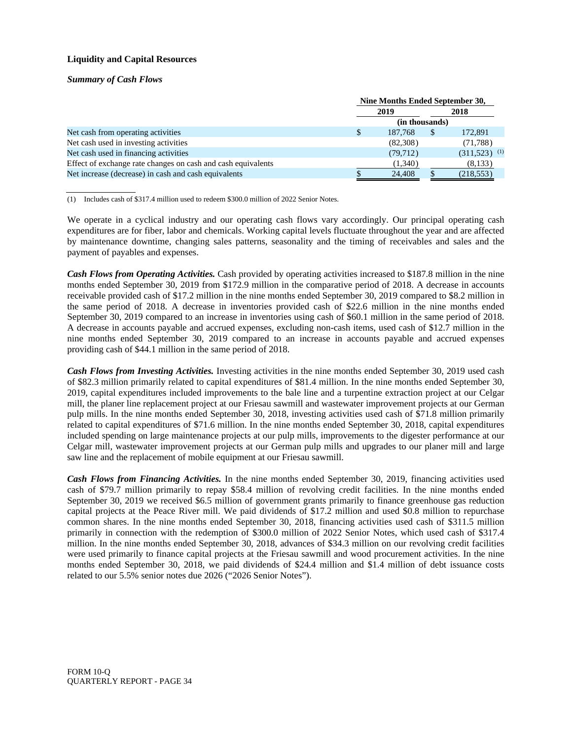## **Liquidity and Capital Resources**

*Summary of Cash Flows*

|                                                              |              | Nine Months Ended September 30, |               |                            |  |
|--------------------------------------------------------------|--------------|---------------------------------|---------------|----------------------------|--|
|                                                              |              | 2019                            |               | 2018                       |  |
|                                                              |              | (in thousands)                  |               |                            |  |
| Net cash from operating activities                           | <sup>S</sup> | 187,768                         | <sup>\$</sup> | 172,891                    |  |
| Net cash used in investing activities                        |              | (82,308)                        |               | (71,788)                   |  |
| Net cash used in financing activities                        |              | (79, 712)                       |               | $(311,523)$ <sup>(1)</sup> |  |
| Effect of exchange rate changes on cash and cash equivalents |              | (1,340)                         |               | (8,133)                    |  |
| Net increase (decrease) in cash and cash equivalents         |              | 24,408                          |               | (218, 553)                 |  |

(1) Includes cash of \$317.4 million used to redeem \$300.0 million of 2022 Senior Notes.

We operate in a cyclical industry and our operating cash flows vary accordingly. Our principal operating cash expenditures are for fiber, labor and chemicals. Working capital levels fluctuate throughout the year and are affected by maintenance downtime, changing sales patterns, seasonality and the timing of receivables and sales and the payment of payables and expenses.

*Cash Flows from Operating Activities.* Cash provided by operating activities increased to \$187.8 million in the nine months ended September 30, 2019 from \$172.9 million in the comparative period of 2018. A decrease in accounts receivable provided cash of \$17.2 million in the nine months ended September 30, 2019 compared to \$8.2 million in the same period of 2018. A decrease in inventories provided cash of \$22.6 million in the nine months ended September 30, 2019 compared to an increase in inventories using cash of \$60.1 million in the same period of 2018. A decrease in accounts payable and accrued expenses, excluding non-cash items, used cash of \$12.7 million in the nine months ended September 30, 2019 compared to an increase in accounts payable and accrued expenses providing cash of \$44.1 million in the same period of 2018.

*Cash Flows from Investing Activities.* Investing activities in the nine months ended September 30, 2019 used cash of \$82.3 million primarily related to capital expenditures of \$81.4 million. In the nine months ended September 30, 2019, capital expenditures included improvements to the bale line and a turpentine extraction project at our Celgar mill, the planer line replacement project at our Friesau sawmill and wastewater improvement projects at our German pulp mills. In the nine months ended September 30, 2018, investing activities used cash of \$71.8 million primarily related to capital expenditures of \$71.6 million. In the nine months ended September 30, 2018, capital expenditures included spending on large maintenance projects at our pulp mills, improvements to the digester performance at our Celgar mill, wastewater improvement projects at our German pulp mills and upgrades to our planer mill and large saw line and the replacement of mobile equipment at our Friesau sawmill.

*Cash Flows from Financing Activities.* In the nine months ended September 30, 2019, financing activities used cash of \$79.7 million primarily to repay \$58.4 million of revolving credit facilities. In the nine months ended September 30, 2019 we received \$6.5 million of government grants primarily to finance greenhouse gas reduction capital projects at the Peace River mill. We paid dividends of \$17.2 million and used \$0.8 million to repurchase common shares. In the nine months ended September 30, 2018, financing activities used cash of \$311.5 million primarily in connection with the redemption of \$300.0 million of 2022 Senior Notes, which used cash of \$317.4 million. In the nine months ended September 30, 2018, advances of \$34.3 million on our revolving credit facilities were used primarily to finance capital projects at the Friesau sawmill and wood procurement activities. In the nine months ended September 30, 2018, we paid dividends of \$24.4 million and \$1.4 million of debt issuance costs related to our 5.5% senior notes due 2026 ("2026 Senior Notes").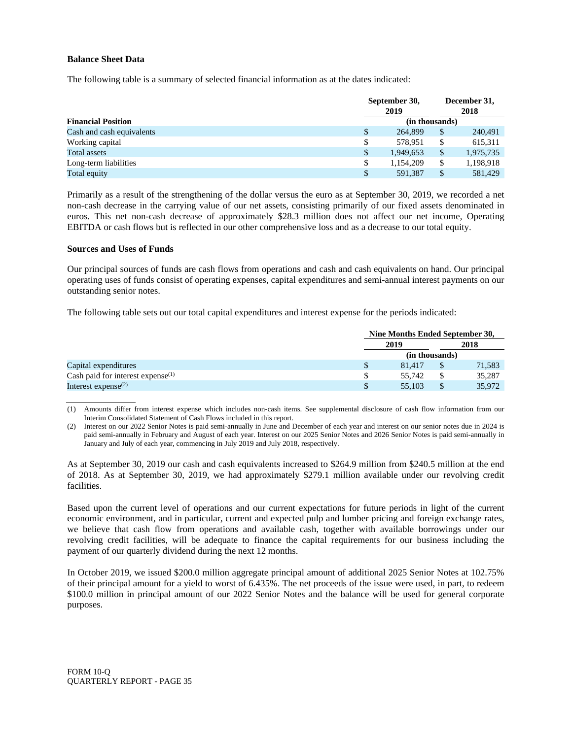## **Balance Sheet Data**

The following table is a summary of selected financial information as at the dates indicated:

|                           | September 30,<br>2019 |                | December 31,<br>2018 |           |
|---------------------------|-----------------------|----------------|----------------------|-----------|
| <b>Financial Position</b> |                       | (in thousands) |                      |           |
| Cash and cash equivalents | S                     | 264,899        | \$                   | 240,491   |
| Working capital           | S                     | 578.951        | \$.                  | 615,311   |
| <b>Total assets</b>       |                       | 1.949.653      | $\mathbb{S}$         | 1,975,735 |
| Long-term liabilities     |                       | 1,154,209      | \$                   | 1,198,918 |
| Total equity              |                       | 591.387        | \$                   | 581.429   |

Primarily as a result of the strengthening of the dollar versus the euro as at September 30, 2019, we recorded a net non-cash decrease in the carrying value of our net assets, consisting primarily of our fixed assets denominated in euros. This net non-cash decrease of approximately \$28.3 million does not affect our net income, Operating EBITDA or cash flows but is reflected in our other comprehensive loss and as a decrease to our total equity.

#### **Sources and Uses of Funds**

Our principal sources of funds are cash flows from operations and cash and cash equivalents on hand. Our principal operating uses of funds consist of operating expenses, capital expenditures and semi-annual interest payments on our outstanding senior notes.

The following table sets out our total capital expenditures and interest expense for the periods indicated:

|                                               | Nine Months Ended September 30, |  |        |
|-----------------------------------------------|---------------------------------|--|--------|
|                                               | 2019                            |  | 2018   |
|                                               | (in thousands)                  |  |        |
| Capital expenditures                          | 81.417                          |  | 71,583 |
| Cash paid for interest expense <sup>(1)</sup> | 55.742                          |  | 35,287 |
| Interest expense $^{(2)}$                     | 55,103                          |  | 35,972 |

(1) Amounts differ from interest expense which includes non-cash items. See supplemental disclosure of cash flow information from our Interim Consolidated Statement of Cash Flows included in this report.

(2) Interest on our 2022 Senior Notes is paid semi-annually in June and December of each year and interest on our senior notes due in 2024 is paid semi-annually in February and August of each year. Interest on our 2025 Senior Notes and 2026 Senior Notes is paid semi-annually in January and July of each year, commencing in July 2019 and July 2018, respectively.

As at September 30, 2019 our cash and cash equivalents increased to \$264.9 million from \$240.5 million at the end of 2018. As at September 30, 2019, we had approximately \$279.1 million available under our revolving credit facilities.

Based upon the current level of operations and our current expectations for future periods in light of the current economic environment, and in particular, current and expected pulp and lumber pricing and foreign exchange rates, we believe that cash flow from operations and available cash, together with available borrowings under our revolving credit facilities, will be adequate to finance the capital requirements for our business including the payment of our quarterly dividend during the next 12 months.

In October 2019, we issued \$200.0 million aggregate principal amount of additional 2025 Senior Notes at 102.75% of their principal amount for a yield to worst of 6.435%. The net proceeds of the issue were used, in part, to redeem \$100.0 million in principal amount of our 2022 Senior Notes and the balance will be used for general corporate purposes.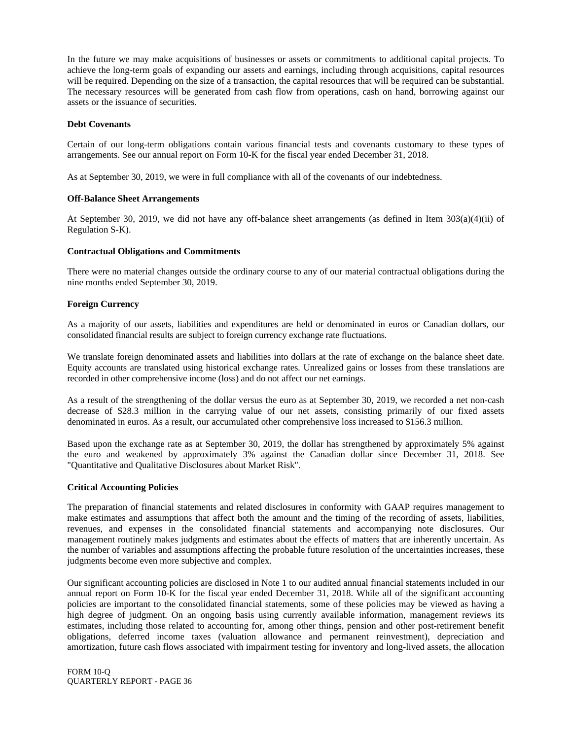In the future we may make acquisitions of businesses or assets or commitments to additional capital projects. To achieve the long-term goals of expanding our assets and earnings, including through acquisitions, capital resources will be required. Depending on the size of a transaction, the capital resources that will be required can be substantial. The necessary resources will be generated from cash flow from operations, cash on hand, borrowing against our assets or the issuance of securities.

#### **Debt Covenants**

Certain of our long-term obligations contain various financial tests and covenants customary to these types of arrangements. See our annual report on Form 10-K for the fiscal year ended December 31, 2018.

As at September 30, 2019, we were in full compliance with all of the covenants of our indebtedness.

#### **Off-Balance Sheet Arrangements**

At September 30, 2019, we did not have any off-balance sheet arrangements (as defined in Item 303(a)(4)(ii) of Regulation S-K).

#### **Contractual Obligations and Commitments**

There were no material changes outside the ordinary course to any of our material contractual obligations during the nine months ended September 30, 2019.

## **Foreign Currency**

As a majority of our assets, liabilities and expenditures are held or denominated in euros or Canadian dollars, our consolidated financial results are subject to foreign currency exchange rate fluctuations.

We translate foreign denominated assets and liabilities into dollars at the rate of exchange on the balance sheet date. Equity accounts are translated using historical exchange rates. Unrealized gains or losses from these translations are recorded in other comprehensive income (loss) and do not affect our net earnings.

As a result of the strengthening of the dollar versus the euro as at September 30, 2019, we recorded a net non-cash decrease of \$28.3 million in the carrying value of our net assets, consisting primarily of our fixed assets denominated in euros. As a result, our accumulated other comprehensive loss increased to \$156.3 million.

Based upon the exchange rate as at September 30, 2019, the dollar has strengthened by approximately 5% against the euro and weakened by approximately 3% against the Canadian dollar since December 31, 2018. See "Quantitative and Qualitative Disclosures about Market Risk".

## **Critical Accounting Policies**

The preparation of financial statements and related disclosures in conformity with GAAP requires management to make estimates and assumptions that affect both the amount and the timing of the recording of assets, liabilities, revenues, and expenses in the consolidated financial statements and accompanying note disclosures. Our management routinely makes judgments and estimates about the effects of matters that are inherently uncertain. As the number of variables and assumptions affecting the probable future resolution of the uncertainties increases, these judgments become even more subjective and complex.

Our significant accounting policies are disclosed in Note 1 to our audited annual financial statements included in our annual report on Form 10-K for the fiscal year ended December 31, 2018. While all of the significant accounting policies are important to the consolidated financial statements, some of these policies may be viewed as having a high degree of judgment. On an ongoing basis using currently available information, management reviews its estimates, including those related to accounting for, among other things, pension and other post-retirement benefit obligations, deferred income taxes (valuation allowance and permanent reinvestment), depreciation and amortization, future cash flows associated with impairment testing for inventory and long-lived assets, the allocation

FORM 10-Q QUARTERLY REPORT - PAGE 36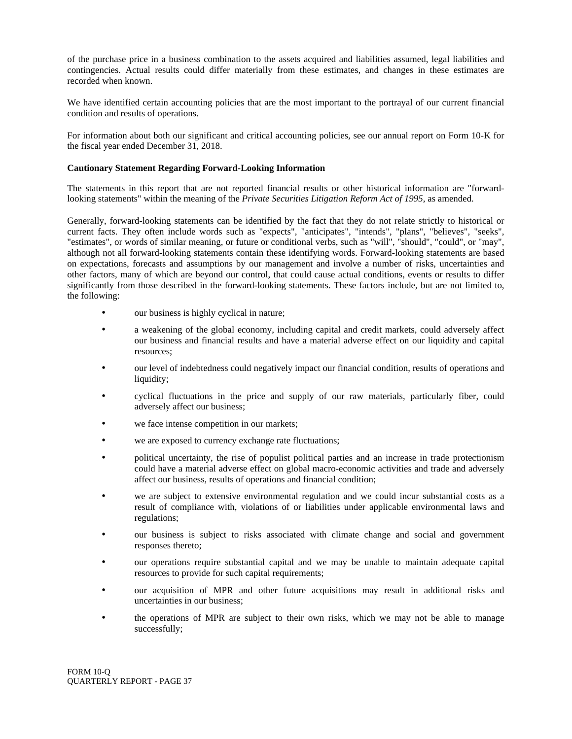of the purchase price in a business combination to the assets acquired and liabilities assumed, legal liabilities and contingencies. Actual results could differ materially from these estimates, and changes in these estimates are recorded when known.

We have identified certain accounting policies that are the most important to the portrayal of our current financial condition and results of operations.

For information about both our significant and critical accounting policies, see our annual report on Form 10-K for the fiscal year ended December 31, 2018.

## **Cautionary Statement Regarding Forward-Looking Information**

The statements in this report that are not reported financial results or other historical information are "forwardlooking statements" within the meaning of the *Private Securities Litigation Reform Act of 1995*, as amended.

Generally, forward-looking statements can be identified by the fact that they do not relate strictly to historical or current facts. They often include words such as "expects", "anticipates", "intends", "plans", "believes", "seeks", "estimates", or words of similar meaning, or future or conditional verbs, such as "will", "should", "could", or "may", although not all forward-looking statements contain these identifying words. Forward-looking statements are based on expectations, forecasts and assumptions by our management and involve a number of risks, uncertainties and other factors, many of which are beyond our control, that could cause actual conditions, events or results to differ significantly from those described in the forward-looking statements. These factors include, but are not limited to, the following:

- our business is highly cyclical in nature;
- a weakening of the global economy, including capital and credit markets, could adversely affect our business and financial results and have a material adverse effect on our liquidity and capital resources;
- our level of indebtedness could negatively impact our financial condition, results of operations and liquidity;
- cyclical fluctuations in the price and supply of our raw materials, particularly fiber, could adversely affect our business;
- we face intense competition in our markets;
- we are exposed to currency exchange rate fluctuations;
- political uncertainty, the rise of populist political parties and an increase in trade protectionism could have a material adverse effect on global macro-economic activities and trade and adversely affect our business, results of operations and financial condition;
- we are subject to extensive environmental regulation and we could incur substantial costs as a result of compliance with, violations of or liabilities under applicable environmental laws and regulations;
- our business is subject to risks associated with climate change and social and government responses thereto;
- our operations require substantial capital and we may be unable to maintain adequate capital resources to provide for such capital requirements;
- our acquisition of MPR and other future acquisitions may result in additional risks and uncertainties in our business;
- the operations of MPR are subject to their own risks, which we may not be able to manage successfully;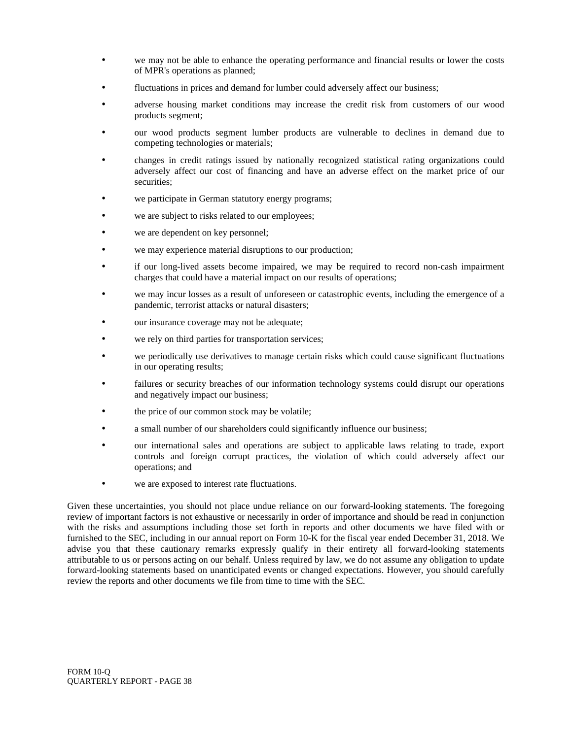- we may not be able to enhance the operating performance and financial results or lower the costs of MPR's operations as planned;
- fluctuations in prices and demand for lumber could adversely affect our business;
- adverse housing market conditions may increase the credit risk from customers of our wood products segment;
- our wood products segment lumber products are vulnerable to declines in demand due to competing technologies or materials;
- changes in credit ratings issued by nationally recognized statistical rating organizations could adversely affect our cost of financing and have an adverse effect on the market price of our securities;
- we participate in German statutory energy programs;
- we are subject to risks related to our employees;
- we are dependent on key personnel;
- we may experience material disruptions to our production;
- if our long-lived assets become impaired, we may be required to record non-cash impairment charges that could have a material impact on our results of operations;
- we may incur losses as a result of unforeseen or catastrophic events, including the emergence of a pandemic, terrorist attacks or natural disasters;
- our insurance coverage may not be adequate;
- we rely on third parties for transportation services;
- we periodically use derivatives to manage certain risks which could cause significant fluctuations in our operating results;
- failures or security breaches of our information technology systems could disrupt our operations and negatively impact our business;
- the price of our common stock may be volatile;
- a small number of our shareholders could significantly influence our business;
- our international sales and operations are subject to applicable laws relating to trade, export controls and foreign corrupt practices, the violation of which could adversely affect our operations; and
- we are exposed to interest rate fluctuations.

Given these uncertainties, you should not place undue reliance on our forward-looking statements. The foregoing review of important factors is not exhaustive or necessarily in order of importance and should be read in conjunction with the risks and assumptions including those set forth in reports and other documents we have filed with or furnished to the SEC, including in our annual report on Form 10-K for the fiscal year ended December 31, 2018. We advise you that these cautionary remarks expressly qualify in their entirety all forward-looking statements attributable to us or persons acting on our behalf. Unless required by law, we do not assume any obligation to update forward-looking statements based on unanticipated events or changed expectations. However, you should carefully review the reports and other documents we file from time to time with the SEC.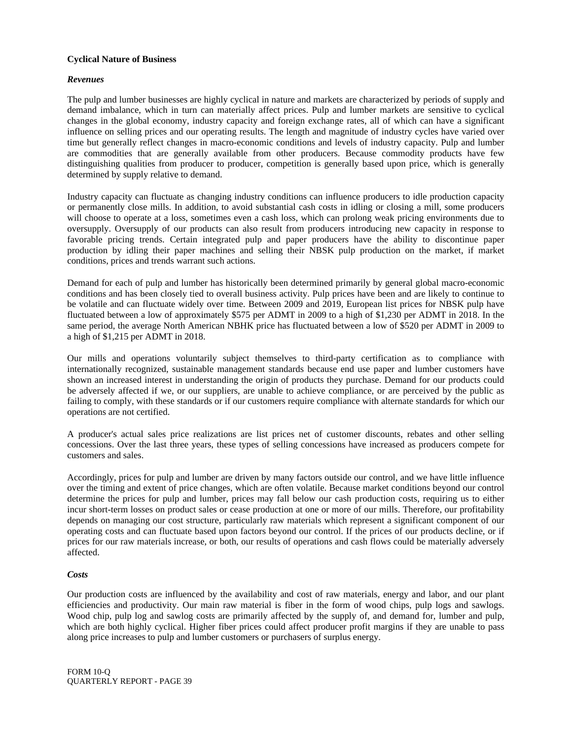## **Cyclical Nature of Business**

## *Revenues*

The pulp and lumber businesses are highly cyclical in nature and markets are characterized by periods of supply and demand imbalance, which in turn can materially affect prices. Pulp and lumber markets are sensitive to cyclical changes in the global economy, industry capacity and foreign exchange rates, all of which can have a significant influence on selling prices and our operating results. The length and magnitude of industry cycles have varied over time but generally reflect changes in macro-economic conditions and levels of industry capacity. Pulp and lumber are commodities that are generally available from other producers. Because commodity products have few distinguishing qualities from producer to producer, competition is generally based upon price, which is generally determined by supply relative to demand.

Industry capacity can fluctuate as changing industry conditions can influence producers to idle production capacity or permanently close mills. In addition, to avoid substantial cash costs in idling or closing a mill, some producers will choose to operate at a loss, sometimes even a cash loss, which can prolong weak pricing environments due to oversupply. Oversupply of our products can also result from producers introducing new capacity in response to favorable pricing trends. Certain integrated pulp and paper producers have the ability to discontinue paper production by idling their paper machines and selling their NBSK pulp production on the market, if market conditions, prices and trends warrant such actions.

Demand for each of pulp and lumber has historically been determined primarily by general global macro-economic conditions and has been closely tied to overall business activity. Pulp prices have been and are likely to continue to be volatile and can fluctuate widely over time. Between 2009 and 2019, European list prices for NBSK pulp have fluctuated between a low of approximately \$575 per ADMT in 2009 to a high of \$1,230 per ADMT in 2018. In the same period, the average North American NBHK price has fluctuated between a low of \$520 per ADMT in 2009 to a high of \$1,215 per ADMT in 2018.

Our mills and operations voluntarily subject themselves to third-party certification as to compliance with internationally recognized, sustainable management standards because end use paper and lumber customers have shown an increased interest in understanding the origin of products they purchase. Demand for our products could be adversely affected if we, or our suppliers, are unable to achieve compliance, or are perceived by the public as failing to comply, with these standards or if our customers require compliance with alternate standards for which our operations are not certified.

A producer's actual sales price realizations are list prices net of customer discounts, rebates and other selling concessions. Over the last three years, these types of selling concessions have increased as producers compete for customers and sales.

Accordingly, prices for pulp and lumber are driven by many factors outside our control, and we have little influence over the timing and extent of price changes, which are often volatile. Because market conditions beyond our control determine the prices for pulp and lumber, prices may fall below our cash production costs, requiring us to either incur short-term losses on product sales or cease production at one or more of our mills. Therefore, our profitability depends on managing our cost structure, particularly raw materials which represent a significant component of our operating costs and can fluctuate based upon factors beyond our control. If the prices of our products decline, or if prices for our raw materials increase, or both, our results of operations and cash flows could be materially adversely affected.

## *Costs*

Our production costs are influenced by the availability and cost of raw materials, energy and labor, and our plant efficiencies and productivity. Our main raw material is fiber in the form of wood chips, pulp logs and sawlogs. Wood chip, pulp log and sawlog costs are primarily affected by the supply of, and demand for, lumber and pulp, which are both highly cyclical. Higher fiber prices could affect producer profit margins if they are unable to pass along price increases to pulp and lumber customers or purchasers of surplus energy.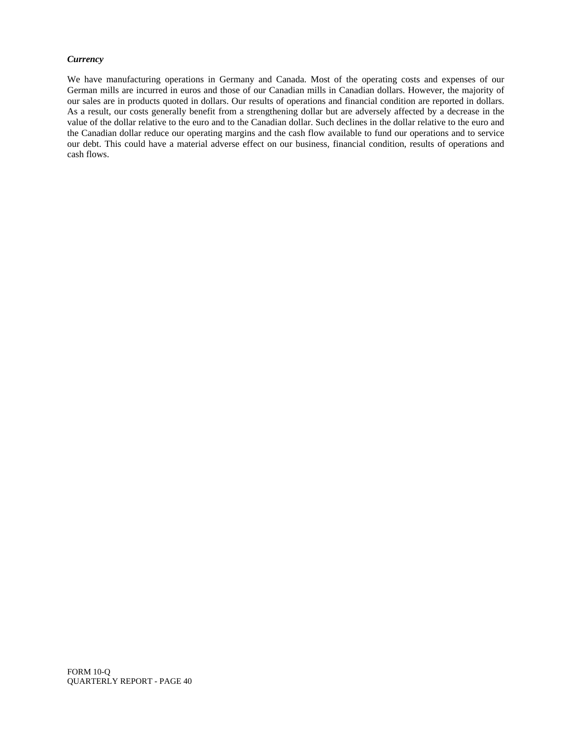## *Currency*

We have manufacturing operations in Germany and Canada. Most of the operating costs and expenses of our German mills are incurred in euros and those of our Canadian mills in Canadian dollars. However, the majority of our sales are in products quoted in dollars. Our results of operations and financial condition are reported in dollars. As a result, our costs generally benefit from a strengthening dollar but are adversely affected by a decrease in the value of the dollar relative to the euro and to the Canadian dollar. Such declines in the dollar relative to the euro and the Canadian dollar reduce our operating margins and the cash flow available to fund our operations and to service our debt. This could have a material adverse effect on our business, financial condition, results of operations and cash flows.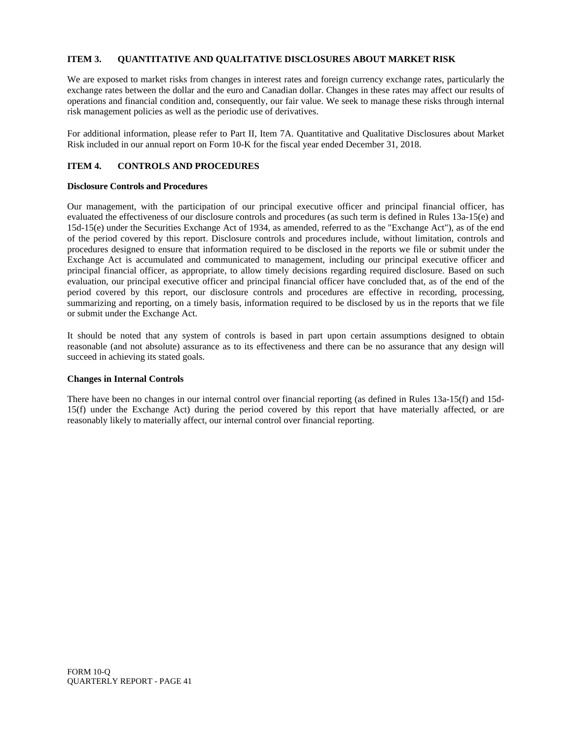## **ITEM 3. QUANTITATIVE AND QUALITATIVE DISCLOSURES ABOUT MARKET RISK**

We are exposed to market risks from changes in interest rates and foreign currency exchange rates, particularly the exchange rates between the dollar and the euro and Canadian dollar. Changes in these rates may affect our results of operations and financial condition and, consequently, our fair value. We seek to manage these risks through internal risk management policies as well as the periodic use of derivatives.

For additional information, please refer to Part II, Item 7A. Quantitative and Qualitative Disclosures about Market Risk included in our annual report on Form 10-K for the fiscal year ended December 31, 2018.

## **ITEM 4. CONTROLS AND PROCEDURES**

## **Disclosure Controls and Procedures**

Our management, with the participation of our principal executive officer and principal financial officer, has evaluated the effectiveness of our disclosure controls and procedures (as such term is defined in Rules 13a-15(e) and 15d-15(e) under the Securities Exchange Act of 1934, as amended, referred to as the "Exchange Act"), as of the end of the period covered by this report. Disclosure controls and procedures include, without limitation, controls and procedures designed to ensure that information required to be disclosed in the reports we file or submit under the Exchange Act is accumulated and communicated to management, including our principal executive officer and principal financial officer, as appropriate, to allow timely decisions regarding required disclosure. Based on such evaluation, our principal executive officer and principal financial officer have concluded that, as of the end of the period covered by this report, our disclosure controls and procedures are effective in recording, processing, summarizing and reporting, on a timely basis, information required to be disclosed by us in the reports that we file or submit under the Exchange Act.

It should be noted that any system of controls is based in part upon certain assumptions designed to obtain reasonable (and not absolute) assurance as to its effectiveness and there can be no assurance that any design will succeed in achieving its stated goals.

## **Changes in Internal Controls**

There have been no changes in our internal control over financial reporting (as defined in Rules 13a-15(f) and 15d-15(f) under the Exchange Act) during the period covered by this report that have materially affected, or are reasonably likely to materially affect, our internal control over financial reporting.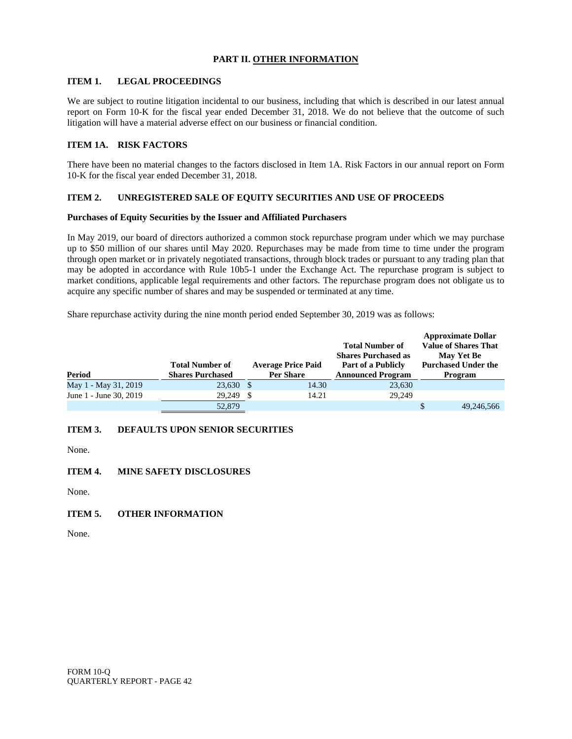## **PART II. OTHER INFORMATION**

## **ITEM 1. LEGAL PROCEEDINGS**

We are subject to routine litigation incidental to our business, including that which is described in our latest annual report on Form 10-K for the fiscal year ended December 31, 2018. We do not believe that the outcome of such litigation will have a material adverse effect on our business or financial condition.

## **ITEM 1A. RISK FACTORS**

There have been no material changes to the factors disclosed in Item 1A. Risk Factors in our annual report on Form 10-K for the fiscal year ended December 31, 2018.

## **ITEM 2. UNREGISTERED SALE OF EQUITY SECURITIES AND USE OF PROCEEDS**

## **Purchases of Equity Securities by the Issuer and Affiliated Purchasers**

In May 2019, our board of directors authorized a common stock repurchase program under which we may purchase up to \$50 million of our shares until May 2020. Repurchases may be made from time to time under the program through open market or in privately negotiated transactions, through block trades or pursuant to any trading plan that may be adopted in accordance with Rule 10b5-1 under the Exchange Act. The repurchase program is subject to market conditions, applicable legal requirements and other factors. The repurchase program does not obligate us to acquire any specific number of shares and may be suspended or terminated at any time.

Share repurchase activity during the nine month period ended September 30, 2019 was as follows:

| Period                 | <b>Total Number of</b><br><b>Shares Purchased</b> |     | <b>Average Price Paid</b><br><b>Per Share</b> | <b>Total Number of</b><br><b>Shares Purchased as</b><br>Part of a Publicly<br><b>Announced Program</b> | <b>Approximate Dollar</b><br><b>Value of Shares That</b><br><b>May Yet Be</b><br><b>Purchased Under the</b><br>Program |
|------------------------|---------------------------------------------------|-----|-----------------------------------------------|--------------------------------------------------------------------------------------------------------|------------------------------------------------------------------------------------------------------------------------|
| May 1 - May 31, 2019   | 23,630                                            | -\$ | 14.30                                         | 23,630                                                                                                 |                                                                                                                        |
| June 1 - June 30, 2019 | 29,249                                            |     | 14.21                                         | 29,249                                                                                                 |                                                                                                                        |
|                        | 52,879                                            |     |                                               |                                                                                                        | 49,246,566                                                                                                             |

## **ITEM 3. DEFAULTS UPON SENIOR SECURITIES**

None.

## **ITEM 4. MINE SAFETY DISCLOSURES**

None.

## **ITEM 5. OTHER INFORMATION**

None.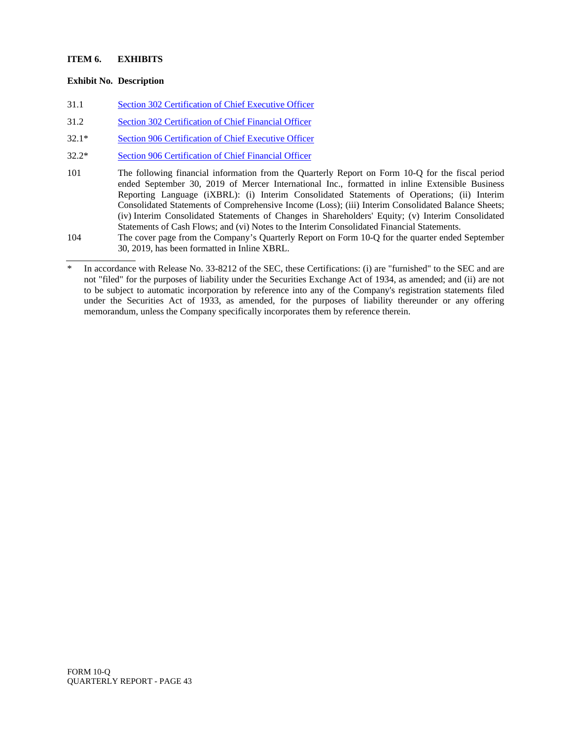## **ITEM 6. EXHIBITS**

## **Exhibit No. Description**

- 31.1 [Section 302 Certification of Chief Executive Officer](merc-ex311_9.htm)
- 31.2 [Section 302 Certification of Chief Financial Officer](merc-ex312_10.htm)
- 32.1\* [Section 906 Certification of Chief Executive Officer](merc-ex321_8.htm)
- 32.2\* [Section 906 Certification of Chief Financial Officer](merc-ex322_7.htm)
- 101 The following financial information from the Quarterly Report on Form 10-Q for the fiscal period ended September 30, 2019 of Mercer International Inc., formatted in inline Extensible Business Reporting Language (iXBRL): (i) Interim Consolidated Statements of Operations; (ii) Interim Consolidated Statements of Comprehensive Income (Loss); (iii) Interim Consolidated Balance Sheets; (iv) Interim Consolidated Statements of Changes in Shareholders' Equity; (v) Interim Consolidated Statements of Cash Flows; and (vi) Notes to the Interim Consolidated Financial Statements.
- 104 The cover page from the Company's Quarterly Report on Form 10-Q for the quarter ended September 30, 2019, has been formatted in Inline XBRL.

In accordance with Release No. 33-8212 of the SEC, these Certifications: (i) are "furnished" to the SEC and are not "filed" for the purposes of liability under the Securities Exchange Act of 1934, as amended; and (ii) are not to be subject to automatic incorporation by reference into any of the Company's registration statements filed under the Securities Act of 1933, as amended, for the purposes of liability thereunder or any offering memorandum, unless the Company specifically incorporates them by reference therein.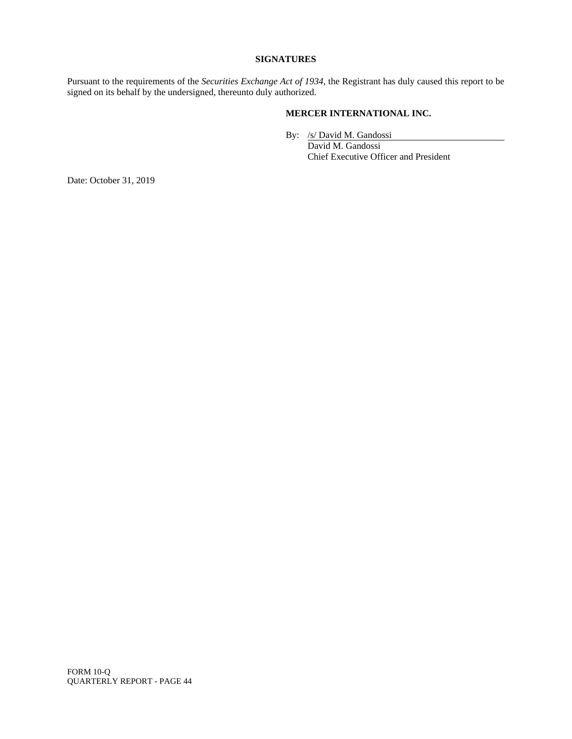## **SIGNATURES**

Pursuant to the requirements of the *Securities Exchange Act of 1934*, the Registrant has duly caused this report to be signed on its behalf by the undersigned, thereunto duly authorized.

## **MERCER INTERNATIONAL INC.**

By: /s/ David M. Gandossi

David M. Gandossi Chief Executive Officer and President

Date: October 31, 2019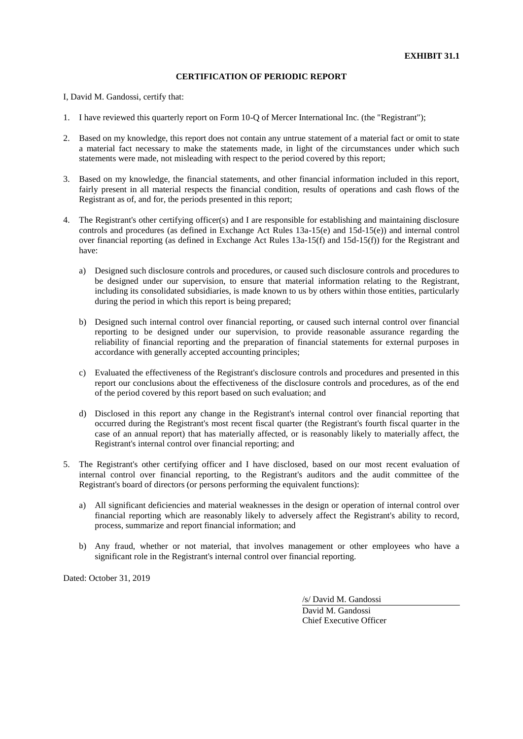I, David M. Gandossi, certify that:

- 1. I have reviewed this quarterly report on Form 10-Q of Mercer International Inc. (the "Registrant");
- 2. Based on my knowledge, this report does not contain any untrue statement of a material fact or omit to state a material fact necessary to make the statements made, in light of the circumstances under which such statements were made, not misleading with respect to the period covered by this report;
- 3. Based on my knowledge, the financial statements, and other financial information included in this report, fairly present in all material respects the financial condition, results of operations and cash flows of the Registrant as of, and for, the periods presented in this report;
- 4. The Registrant's other certifying officer(s) and I are responsible for establishing and maintaining disclosure controls and procedures (as defined in Exchange Act Rules 13a-15(e) and 15d-15(e)) and internal control over financial reporting (as defined in Exchange Act Rules 13a-15(f) and 15d-15(f)) for the Registrant and have:
	- a) Designed such disclosure controls and procedures, or caused such disclosure controls and procedures to be designed under our supervision, to ensure that material information relating to the Registrant, including its consolidated subsidiaries, is made known to us by others within those entities, particularly during the period in which this report is being prepared;
	- b) Designed such internal control over financial reporting, or caused such internal control over financial reporting to be designed under our supervision, to provide reasonable assurance regarding the reliability of financial reporting and the preparation of financial statements for external purposes in accordance with generally accepted accounting principles;
	- c) Evaluated the effectiveness of the Registrant's disclosure controls and procedures and presented in this report our conclusions about the effectiveness of the disclosure controls and procedures, as of the end of the period covered by this report based on such evaluation; and
	- d) Disclosed in this report any change in the Registrant's internal control over financial reporting that occurred during the Registrant's most recent fiscal quarter (the Registrant's fourth fiscal quarter in the case of an annual report) that has materially affected, or is reasonably likely to materially affect, the Registrant's internal control over financial reporting; and
- 5. The Registrant's other certifying officer and I have disclosed, based on our most recent evaluation of internal control over financial reporting, to the Registrant's auditors and the audit committee of the Registrant's board of directors (or persons performing the equivalent functions):
	- a) All significant deficiencies and material weaknesses in the design or operation of internal control over financial reporting which are reasonably likely to adversely affect the Registrant's ability to record, process, summarize and report financial information; and
	- b) Any fraud, whether or not material, that involves management or other employees who have a significant role in the Registrant's internal control over financial reporting.

Dated: October 31, 2019

/s/ David M. Gandossi

David M. Gandossi Chief Executive Officer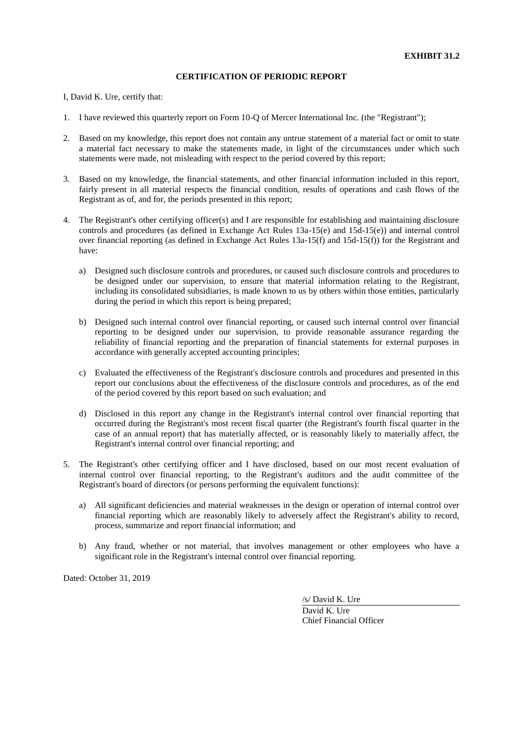I, David K. Ure, certify that:

- 1. I have reviewed this quarterly report on Form 10-Q of Mercer International Inc. (the "Registrant");
- 2. Based on my knowledge, this report does not contain any untrue statement of a material fact or omit to state a material fact necessary to make the statements made, in light of the circumstances under which such statements were made, not misleading with respect to the period covered by this report;
- 3. Based on my knowledge, the financial statements, and other financial information included in this report, fairly present in all material respects the financial condition, results of operations and cash flows of the Registrant as of, and for, the periods presented in this report;
- 4. The Registrant's other certifying officer(s) and I are responsible for establishing and maintaining disclosure controls and procedures (as defined in Exchange Act Rules 13a-15(e) and 15d-15(e)) and internal control over financial reporting (as defined in Exchange Act Rules 13a-15(f) and 15d-15(f)) for the Registrant and have:
	- a) Designed such disclosure controls and procedures, or caused such disclosure controls and procedures to be designed under our supervision, to ensure that material information relating to the Registrant, including its consolidated subsidiaries, is made known to us by others within those entities, particularly during the period in which this report is being prepared;
	- b) Designed such internal control over financial reporting, or caused such internal control over financial reporting to be designed under our supervision, to provide reasonable assurance regarding the reliability of financial reporting and the preparation of financial statements for external purposes in accordance with generally accepted accounting principles;
	- c) Evaluated the effectiveness of the Registrant's disclosure controls and procedures and presented in this report our conclusions about the effectiveness of the disclosure controls and procedures, as of the end of the period covered by this report based on such evaluation; and
	- d) Disclosed in this report any change in the Registrant's internal control over financial reporting that occurred during the Registrant's most recent fiscal quarter (the Registrant's fourth fiscal quarter in the case of an annual report) that has materially affected, or is reasonably likely to materially affect, the Registrant's internal control over financial reporting; and
- 5. The Registrant's other certifying officer and I have disclosed, based on our most recent evaluation of internal control over financial reporting, to the Registrant's auditors and the audit committee of the Registrant's board of directors (or persons performing the equivalent functions):
	- a) All significant deficiencies and material weaknesses in the design or operation of internal control over financial reporting which are reasonably likely to adversely affect the Registrant's ability to record, process, summarize and report financial information; and
	- b) Any fraud, whether or not material, that involves management or other employees who have a significant role in the Registrant's internal control over financial reporting.

Dated: October 31, 2019

/s/ David K. Ure

David K. Ure Chief Financial Officer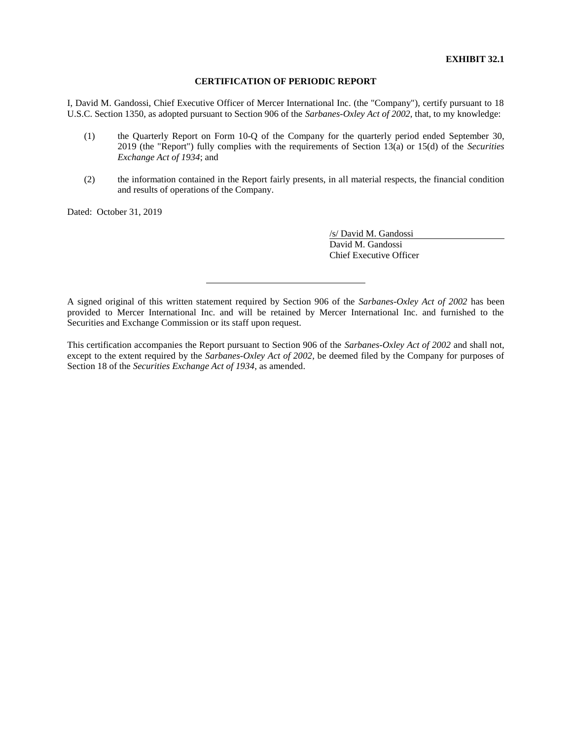I, David M. Gandossi, Chief Executive Officer of Mercer International Inc. (the "Company"), certify pursuant to 18 U.S.C. Section 1350, as adopted pursuant to Section 906 of the *Sarbanes-Oxley Act of 2002*, that, to my knowledge:

- (1) the Quarterly Report on Form 10-Q of the Company for the quarterly period ended September 30, 2019 (the "Report") fully complies with the requirements of Section 13(a) or 15(d) of the *Securities Exchange Act of 1934*; and
- (2) the information contained in the Report fairly presents, in all material respects, the financial condition and results of operations of the Company.

Dated: October 31, 2019

/s/ David M. Gandossi David M. Gandossi Chief Executive Officer

A signed original of this written statement required by Section 906 of the *Sarbanes-Oxley Act of 2002* has been provided to Mercer International Inc. and will be retained by Mercer International Inc. and furnished to the Securities and Exchange Commission or its staff upon request.

This certification accompanies the Report pursuant to Section 906 of the *Sarbanes-Oxley Act of 2002* and shall not, except to the extent required by the *Sarbanes-Oxley Act of 2002*, be deemed filed by the Company for purposes of Section 18 of the *Securities Exchange Act of 1934*, as amended.